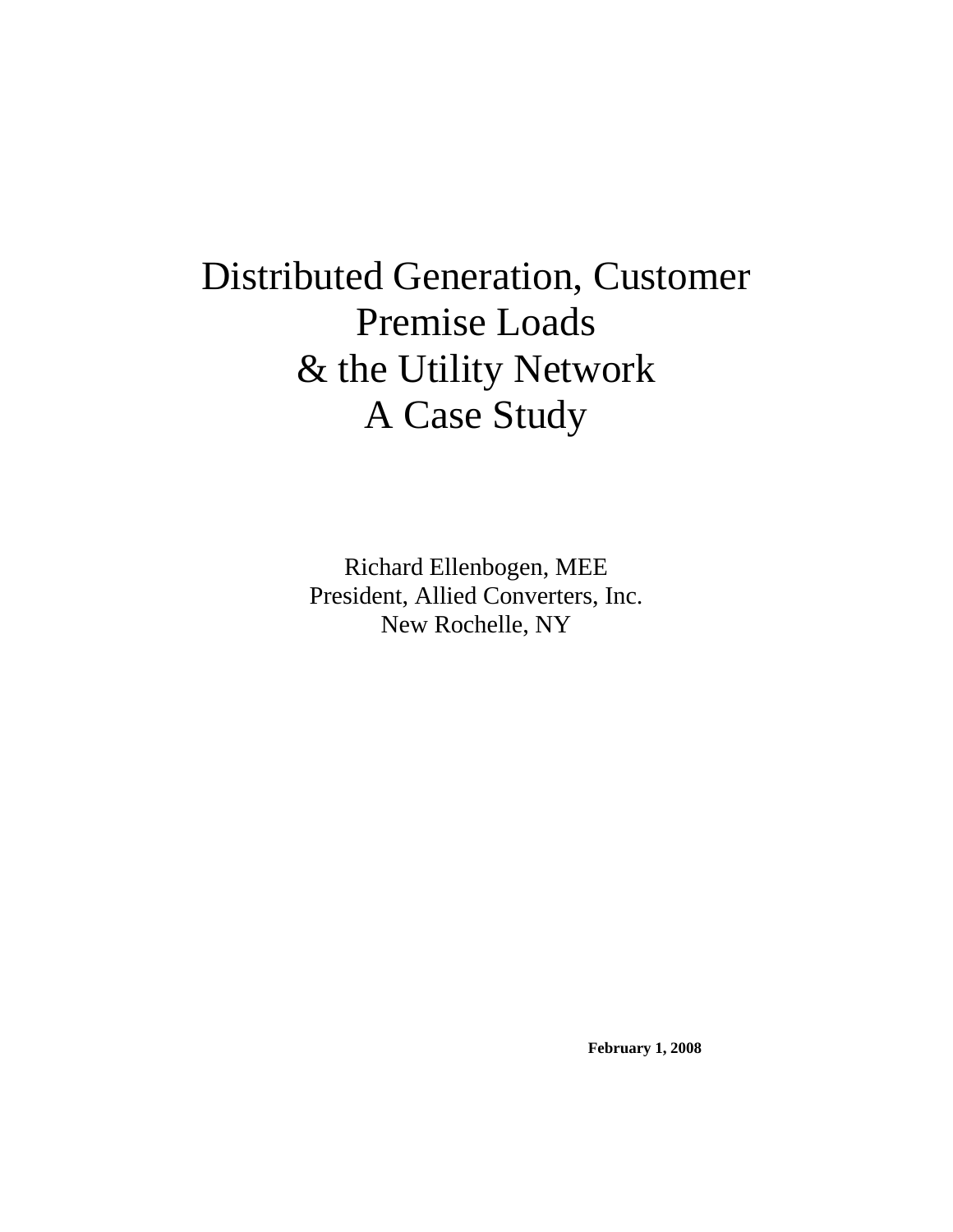# Distributed Generation, Customer Premise Loads & the Utility Network A Case Study

Richard Ellenbogen, MEE President, Allied Converters, Inc. New Rochelle, NY

**February 1, 2008**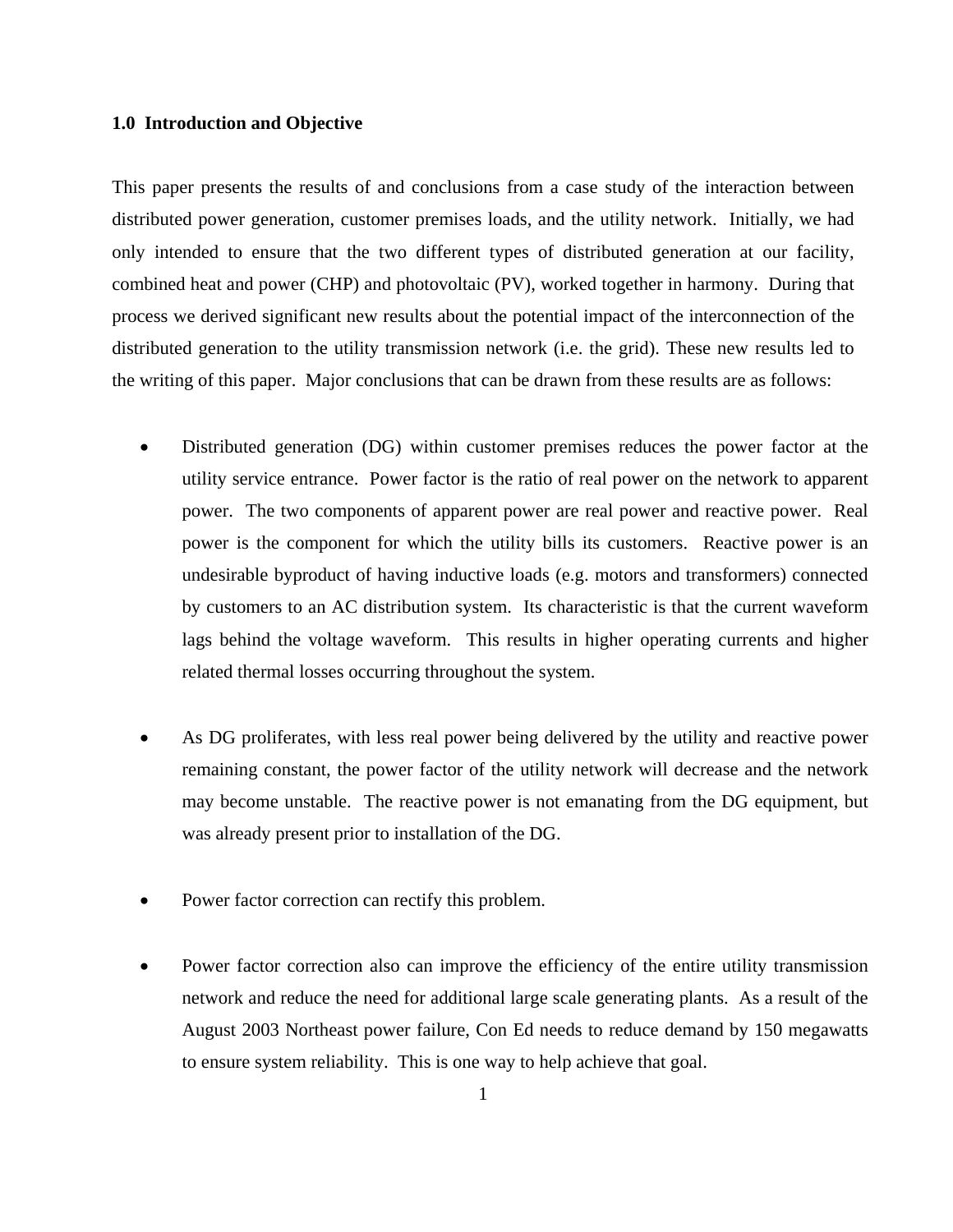### **1.0 Introduction and Objective**

This paper presents the results of and conclusions from a case study of the interaction between distributed power generation, customer premises loads, and the utility network. Initially, we had only intended to ensure that the two different types of distributed generation at our facility, combined heat and power (CHP) and photovoltaic (PV), worked together in harmony. During that process we derived significant new results about the potential impact of the interconnection of the distributed generation to the utility transmission network (i.e. the grid). These new results led to the writing of this paper. Major conclusions that can be drawn from these results are as follows:

- Distributed generation (DG) within customer premises reduces the power factor at the utility service entrance. Power factor is the ratio of real power on the network to apparent power. The two components of apparent power are real power and reactive power. Real power is the component for which the utility bills its customers. Reactive power is an undesirable byproduct of having inductive loads (e.g. motors and transformers) connected by customers to an AC distribution system. Its characteristic is that the current waveform lags behind the voltage waveform. This results in higher operating currents and higher related thermal losses occurring throughout the system.
- As DG proliferates, with less real power being delivered by the utility and reactive power remaining constant, the power factor of the utility network will decrease and the network may become unstable. The reactive power is not emanating from the DG equipment, but was already present prior to installation of the DG.
- Power factor correction can rectify this problem.
- Power factor correction also can improve the efficiency of the entire utility transmission network and reduce the need for additional large scale generating plants. As a result of the August 2003 Northeast power failure, Con Ed needs to reduce demand by 150 megawatts to ensure system reliability. This is one way to help achieve that goal.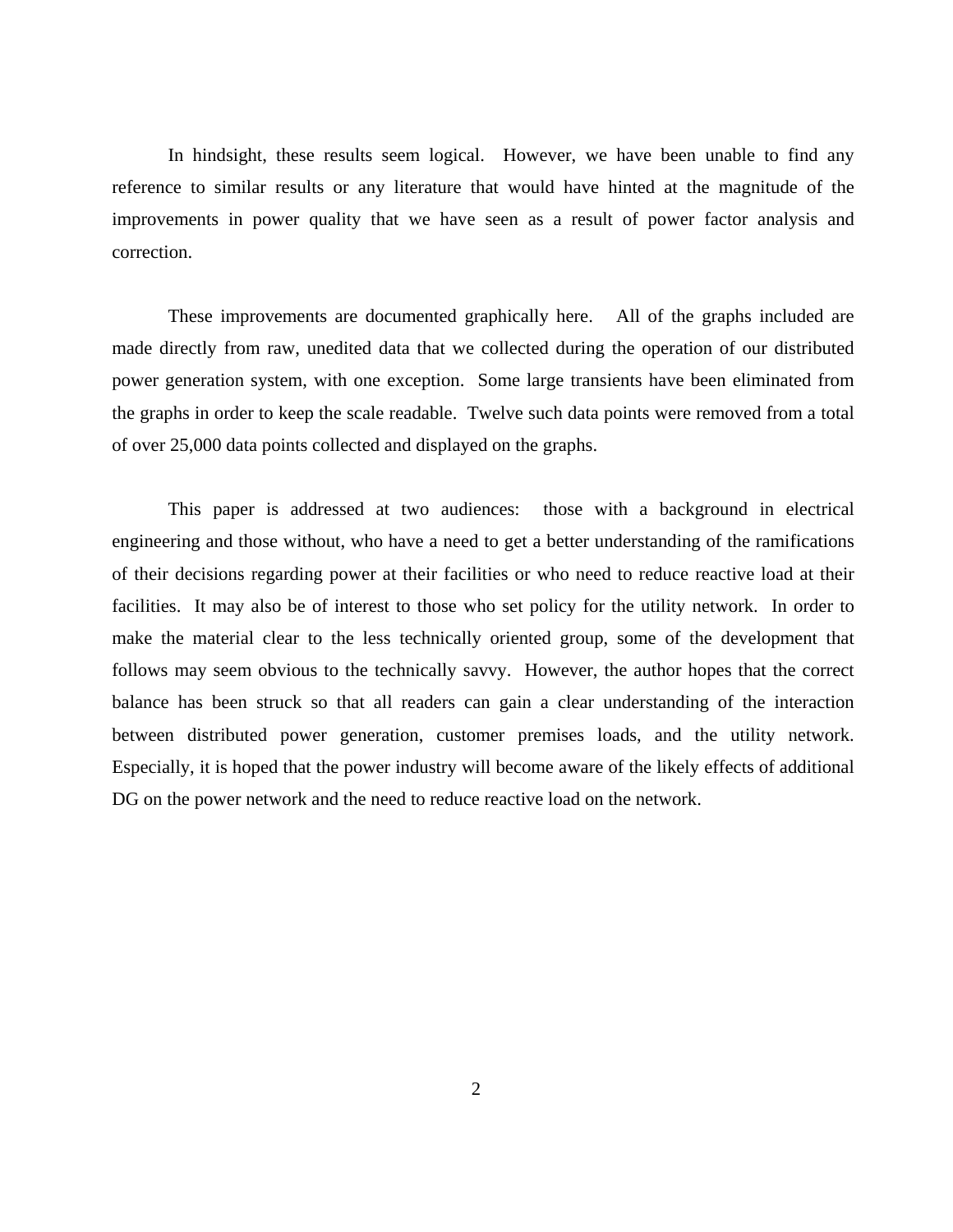In hindsight, these results seem logical. However, we have been unable to find any reference to similar results or any literature that would have hinted at the magnitude of the improvements in power quality that we have seen as a result of power factor analysis and correction.

These improvements are documented graphically here. All of the graphs included are made directly from raw, unedited data that we collected during the operation of our distributed power generation system, with one exception. Some large transients have been eliminated from the graphs in order to keep the scale readable. Twelve such data points were removed from a total of over 25,000 data points collected and displayed on the graphs.

This paper is addressed at two audiences: those with a background in electrical engineering and those without, who have a need to get a better understanding of the ramifications of their decisions regarding power at their facilities or who need to reduce reactive load at their facilities. It may also be of interest to those who set policy for the utility network. In order to make the material clear to the less technically oriented group, some of the development that follows may seem obvious to the technically savvy. However, the author hopes that the correct balance has been struck so that all readers can gain a clear understanding of the interaction between distributed power generation, customer premises loads, and the utility network. Especially, it is hoped that the power industry will become aware of the likely effects of additional DG on the power network and the need to reduce reactive load on the network.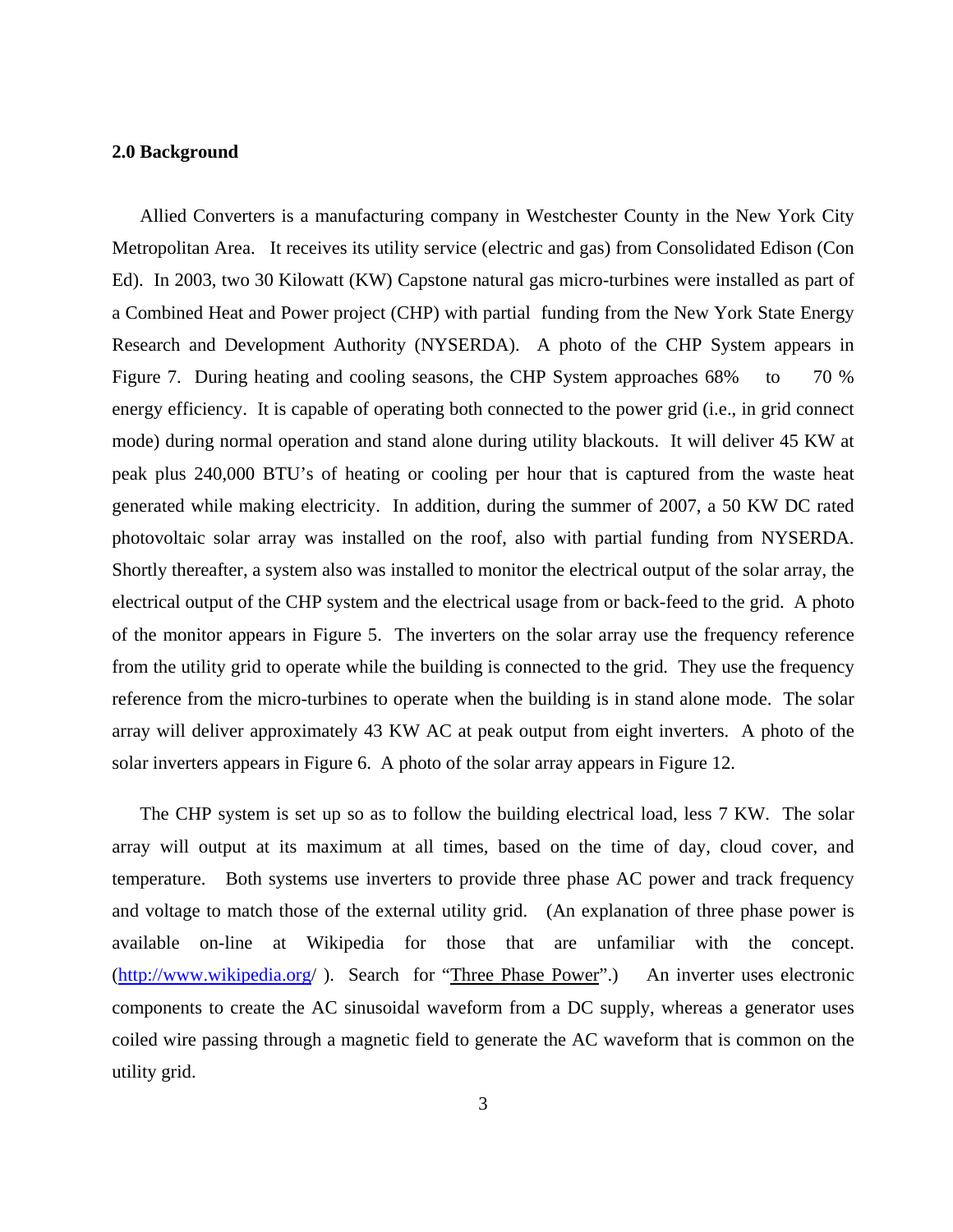#### **2.0 Background**

Allied Converters is a manufacturing company in Westchester County in the New York City Metropolitan Area. It receives its utility service (electric and gas) from Consolidated Edison (Con Ed). In 2003, two 30 Kilowatt (KW) Capstone natural gas micro-turbines were installed as part of a Combined Heat and Power project (CHP) with partial funding from the New York State Energy Research and Development Authority (NYSERDA). A photo of the CHP System appears in Figure 7. During heating and cooling seasons, the CHP System approaches 68% to 70 % energy efficiency. It is capable of operating both connected to the power grid (i.e., in grid connect mode) during normal operation and stand alone during utility blackouts. It will deliver 45 KW at peak plus 240,000 BTU's of heating or cooling per hour that is captured from the waste heat generated while making electricity. In addition, during the summer of 2007, a 50 KW DC rated photovoltaic solar array was installed on the roof, also with partial funding from NYSERDA. Shortly thereafter, a system also was installed to monitor the electrical output of the solar array, the electrical output of the CHP system and the electrical usage from or back-feed to the grid. A photo of the monitor appears in Figure 5. The inverters on the solar array use the frequency reference from the utility grid to operate while the building is connected to the grid. They use the frequency reference from the micro-turbines to operate when the building is in stand alone mode. The solar array will deliver approximately 43 KW AC at peak output from eight inverters. A photo of the solar inverters appears in Figure 6. A photo of the solar array appears in Figure 12.

The CHP system is set up so as to follow the building electrical load, less 7 KW. The solar array will output at its maximum at all times, based on the time of day, cloud cover, and temperature. Both systems use inverters to provide three phase AC power and track frequency and voltage to match those of the external utility grid. (An explanation of three phase power is available on-line at Wikipedia for those that are unfamiliar with the concept. ([http://www.wikipedia.org](http://www.wikipedia.org/)/). Search for "Three Phase Power".) An inverter uses electronic components to create the AC sinusoidal waveform from a DC supply, whereas a generator uses coiled wire passing through a magnetic field to generate the AC waveform that is common on the utility grid.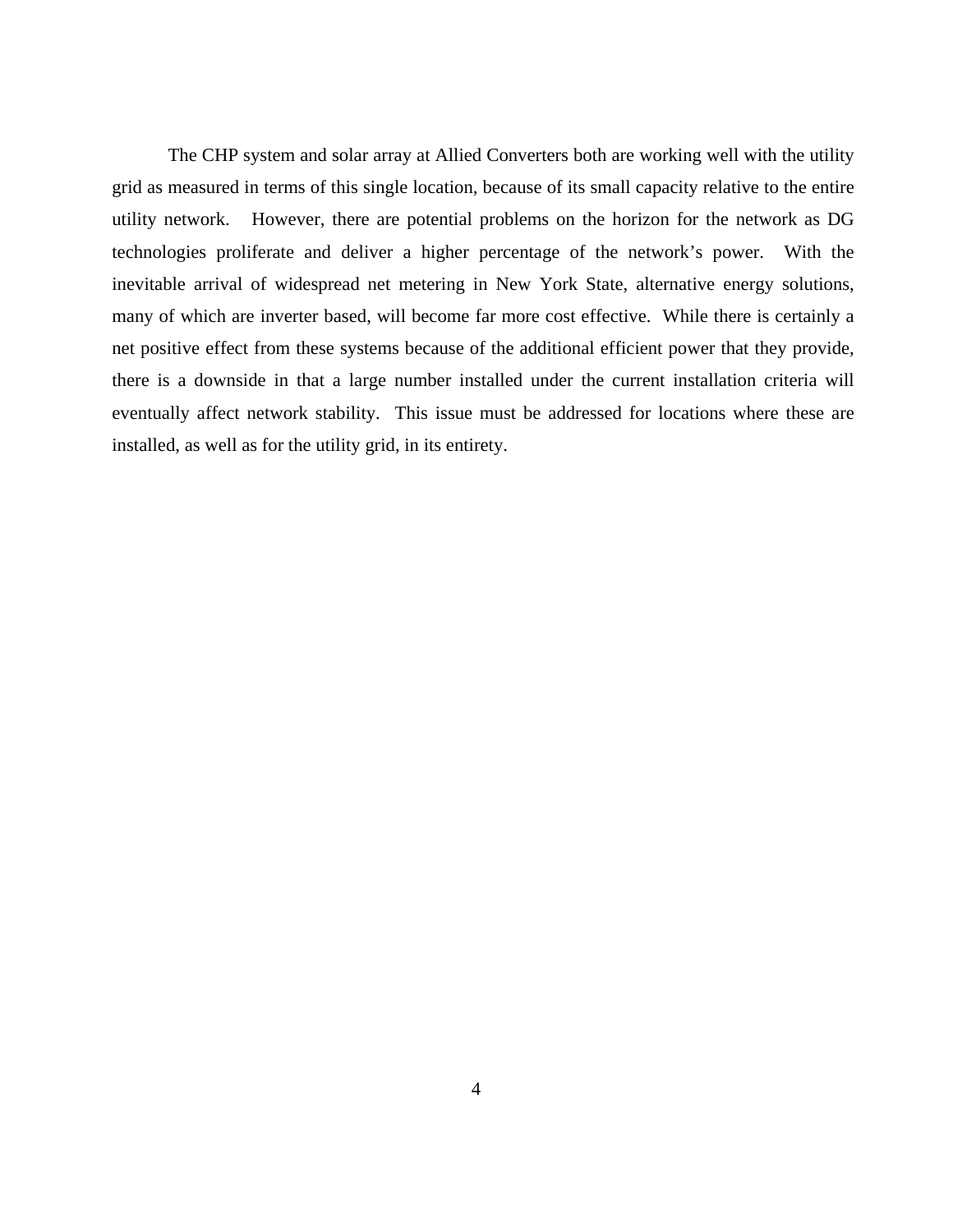The CHP system and solar array at Allied Converters both are working well with the utility grid as measured in terms of this single location, because of its small capacity relative to the entire utility network. However, there are potential problems on the horizon for the network as DG technologies proliferate and deliver a higher percentage of the network's power. With the inevitable arrival of widespread net metering in New York State, alternative energy solutions, many of which are inverter based, will become far more cost effective. While there is certainly a net positive effect from these systems because of the additional efficient power that they provide, there is a downside in that a large number installed under the current installation criteria will eventually affect network stability. This issue must be addressed for locations where these are installed, as well as for the utility grid, in its entirety.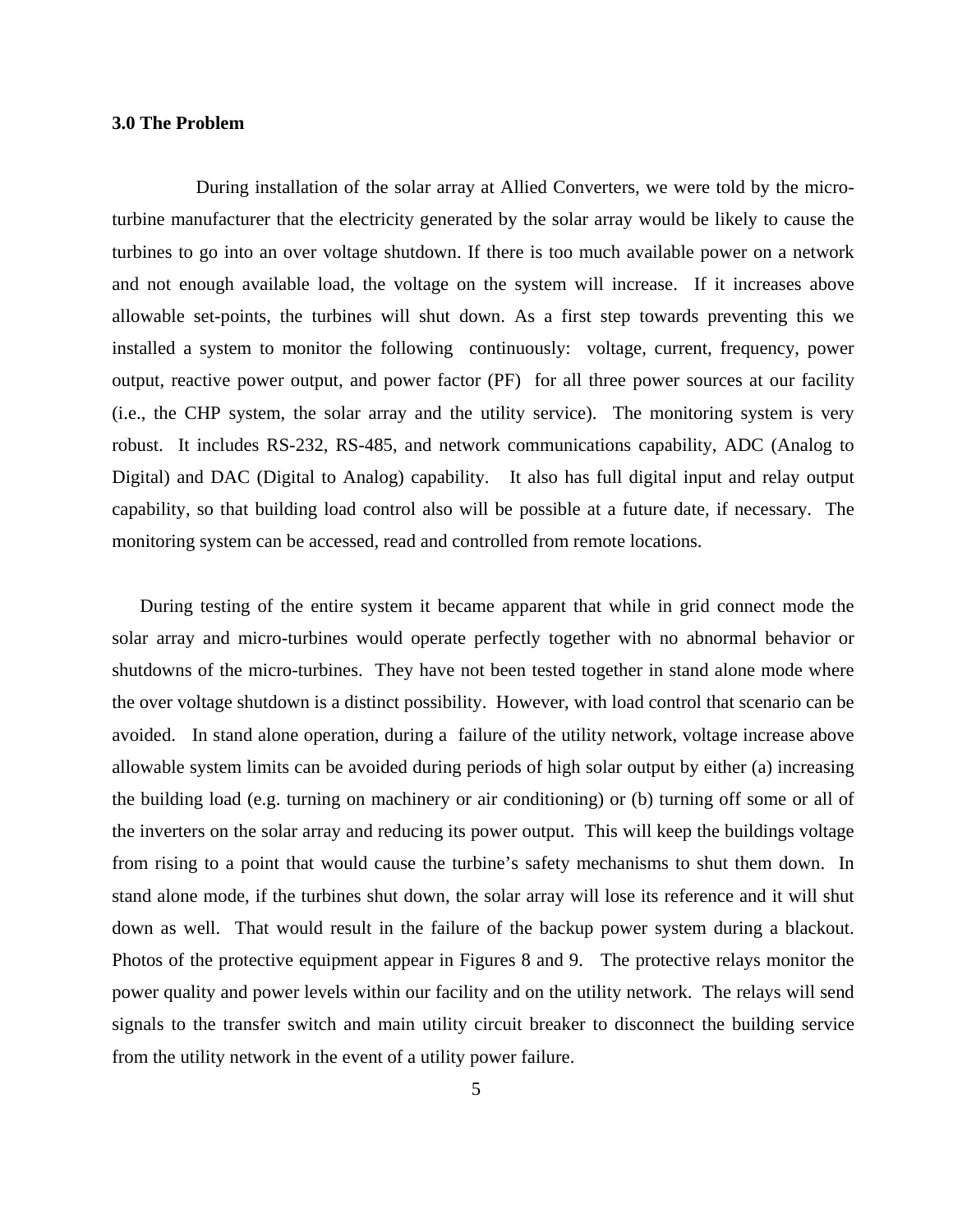#### **3.0 The Problem**

During installation of the solar array at Allied Converters, we were told by the microturbine manufacturer that the electricity generated by the solar array would be likely to cause the turbines to go into an over voltage shutdown. If there is too much available power on a network and not enough available load, the voltage on the system will increase. If it increases above allowable set-points, the turbines will shut down. As a first step towards preventing this we installed a system to monitor the following continuously: voltage, current, frequency, power output, reactive power output, and power factor (PF) for all three power sources at our facility (i.e., the CHP system, the solar array and the utility service). The monitoring system is very robust. It includes RS-232, RS-485, and network communications capability, ADC (Analog to Digital) and DAC (Digital to Analog) capability. It also has full digital input and relay output capability, so that building load control also will be possible at a future date, if necessary. The monitoring system can be accessed, read and controlled from remote locations.

During testing of the entire system it became apparent that while in grid connect mode the solar array and micro-turbines would operate perfectly together with no abnormal behavior or shutdowns of the micro-turbines. They have not been tested together in stand alone mode where the over voltage shutdown is a distinct possibility. However, with load control that scenario can be avoided. In stand alone operation, during a failure of the utility network, voltage increase above allowable system limits can be avoided during periods of high solar output by either (a) increasing the building load (e.g. turning on machinery or air conditioning) or (b) turning off some or all of the inverters on the solar array and reducing its power output. This will keep the buildings voltage from rising to a point that would cause the turbine's safety mechanisms to shut them down. In stand alone mode, if the turbines shut down, the solar array will lose its reference and it will shut down as well. That would result in the failure of the backup power system during a blackout. Photos of the protective equipment appear in Figures 8 and 9. The protective relays monitor the power quality and power levels within our facility and on the utility network. The relays will send signals to the transfer switch and main utility circuit breaker to disconnect the building service from the utility network in the event of a utility power failure.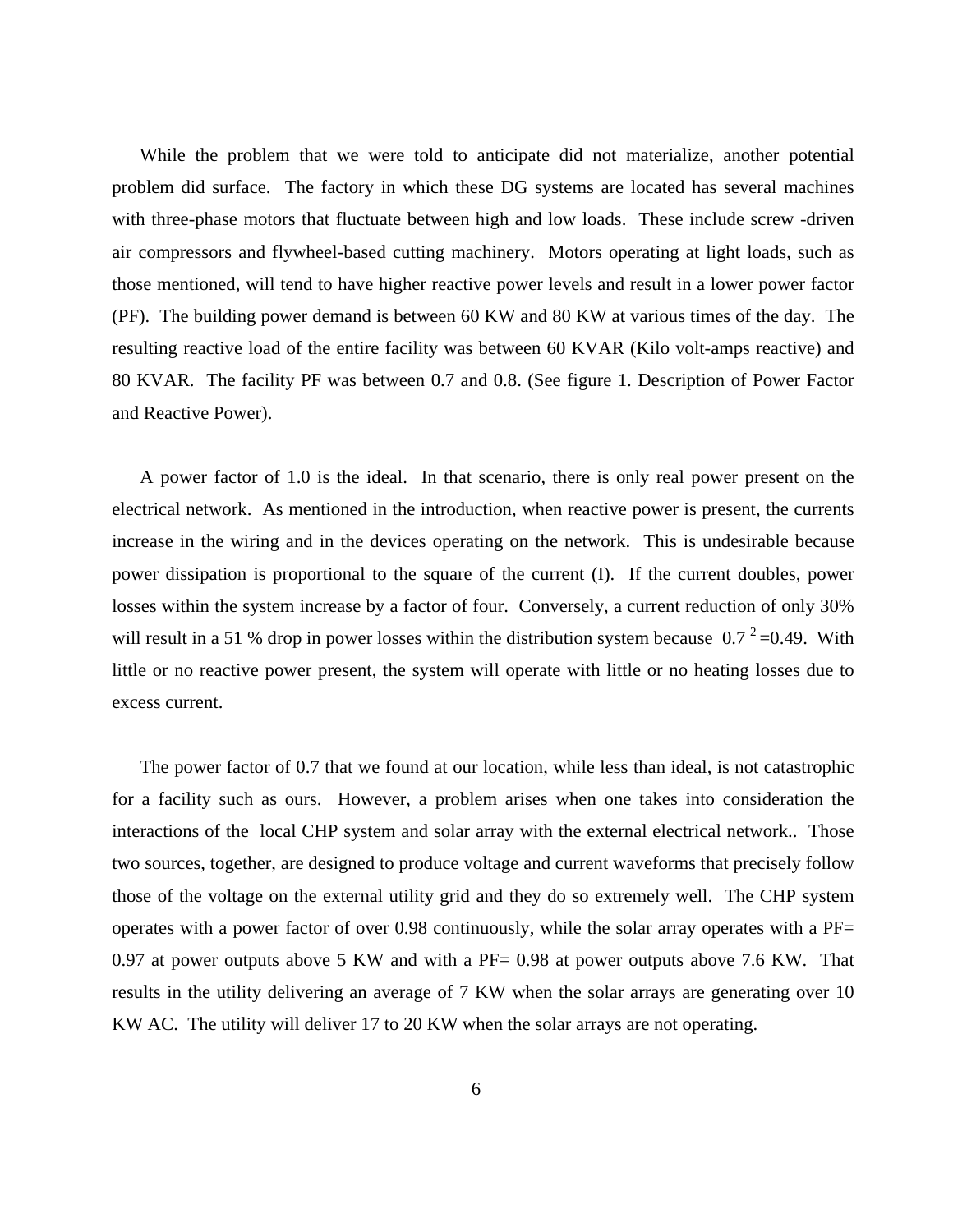While the problem that we were told to anticipate did not materialize, another potential problem did surface. The factory in which these DG systems are located has several machines with three-phase motors that fluctuate between high and low loads. These include screw -driven air compressors and flywheel-based cutting machinery. Motors operating at light loads, such as those mentioned, will tend to have higher reactive power levels and result in a lower power factor (PF). The building power demand is between 60 KW and 80 KW at various times of the day. The resulting reactive load of the entire facility was between 60 KVAR (Kilo volt-amps reactive) and 80 KVAR. The facility PF was between 0.7 and 0.8. (See figure 1. Description of Power Factor and Reactive Power).

A power factor of 1.0 is the ideal. In that scenario, there is only real power present on the electrical network. As mentioned in the introduction, when reactive power is present, the currents increase in the wiring and in the devices operating on the network. This is undesirable because power dissipation is proportional to the square of the current (I). If the current doubles, power losses within the system increase by a factor of four. Conversely, a current reduction of only 30% will result in a 51 % drop in power losses within the distribution system because  $0.7^2$  =0.49. With little or no reactive power present, the system will operate with little or no heating losses due to excess current.

The power factor of 0.7 that we found at our location, while less than ideal, is not catastrophic for a facility such as ours. However, a problem arises when one takes into consideration the interactions of the local CHP system and solar array with the external electrical network.. Those two sources, together, are designed to produce voltage and current waveforms that precisely follow those of the voltage on the external utility grid and they do so extremely well. The CHP system operates with a power factor of over 0.98 continuously, while the solar array operates with a PF= 0.97 at power outputs above 5 KW and with a PF= 0.98 at power outputs above 7.6 KW. That results in the utility delivering an average of 7 KW when the solar arrays are generating over 10 KW AC. The utility will deliver 17 to 20 KW when the solar arrays are not operating.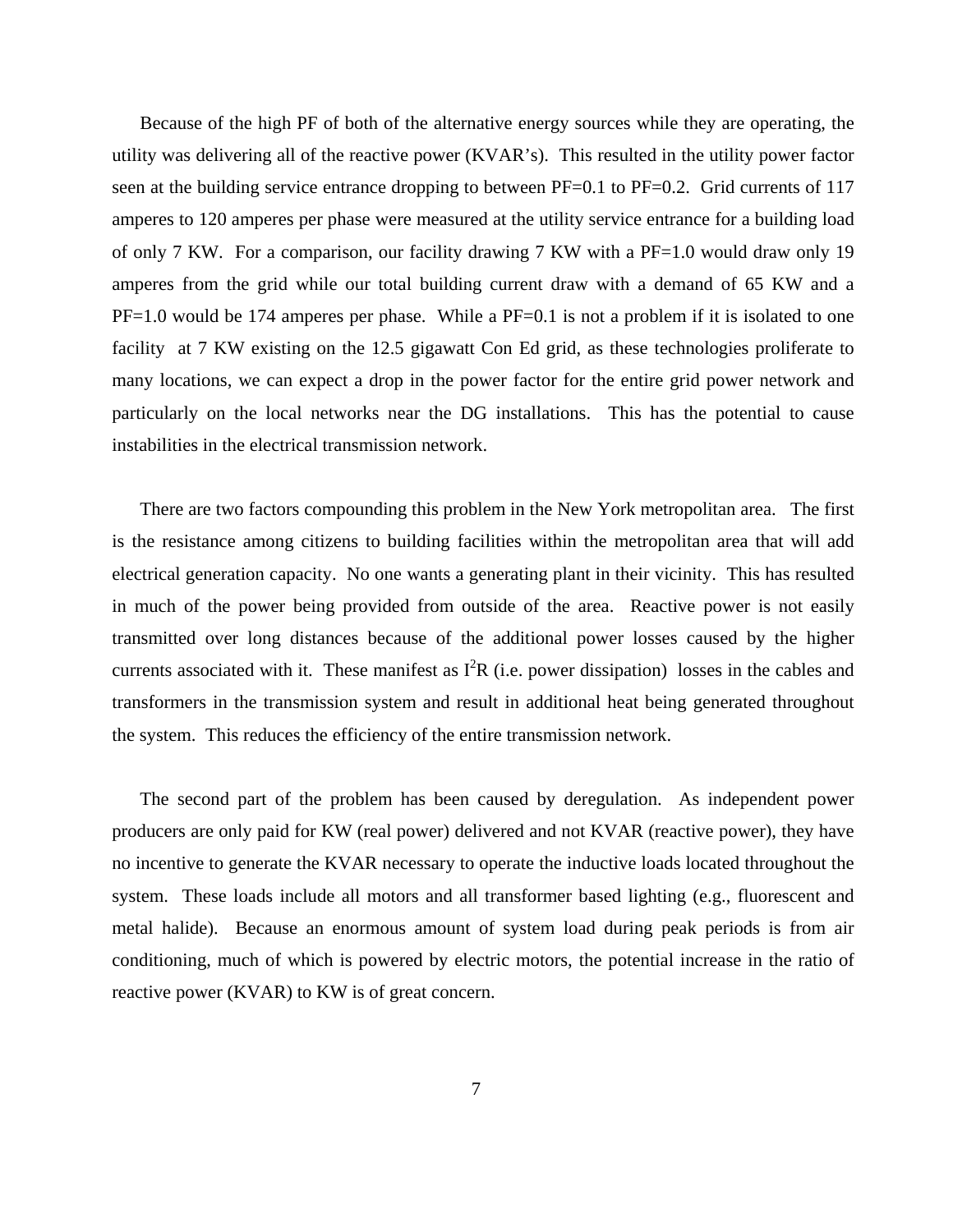Because of the high PF of both of the alternative energy sources while they are operating, the utility was delivering all of the reactive power (KVAR's). This resulted in the utility power factor seen at the building service entrance dropping to between PF=0.1 to PF=0.2. Grid currents of 117 amperes to 120 amperes per phase were measured at the utility service entrance for a building load of only 7 KW. For a comparison, our facility drawing 7 KW with a PF=1.0 would draw only 19 amperes from the grid while our total building current draw with a demand of 65 KW and a  $PF=1.0$  would be 174 amperes per phase. While a  $PF=0.1$  is not a problem if it is isolated to one facility at 7 KW existing on the 12.5 gigawatt Con Ed grid, as these technologies proliferate to many locations, we can expect a drop in the power factor for the entire grid power network and particularly on the local networks near the DG installations. This has the potential to cause instabilities in the electrical transmission network.

There are two factors compounding this problem in the New York metropolitan area. The first is the resistance among citizens to building facilities within the metropolitan area that will add electrical generation capacity. No one wants a generating plant in their vicinity. This has resulted in much of the power being provided from outside of the area. Reactive power is not easily transmitted over long distances because of the additional power losses caused by the higher currents associated with it. These manifest as  $I^2R$  (i.e. power dissipation) losses in the cables and transformers in the transmission system and result in additional heat being generated throughout the system. This reduces the efficiency of the entire transmission network.

The second part of the problem has been caused by deregulation. As independent power producers are only paid for KW (real power) delivered and not KVAR (reactive power), they have no incentive to generate the KVAR necessary to operate the inductive loads located throughout the system. These loads include all motors and all transformer based lighting (e.g., fluorescent and metal halide). Because an enormous amount of system load during peak periods is from air conditioning, much of which is powered by electric motors, the potential increase in the ratio of reactive power (KVAR) to KW is of great concern.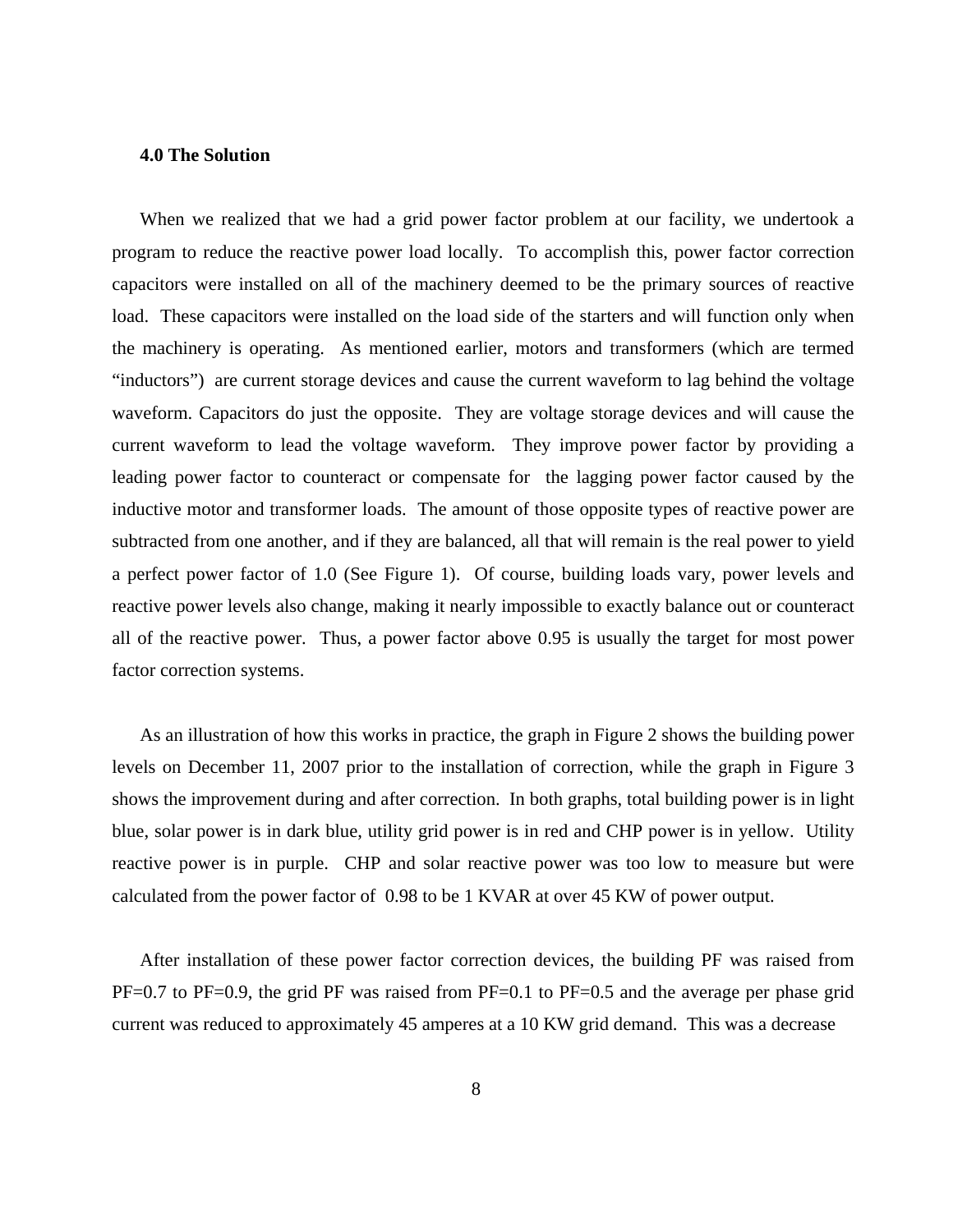#### **4.0 The Solution**

When we realized that we had a grid power factor problem at our facility, we undertook a program to reduce the reactive power load locally. To accomplish this, power factor correction capacitors were installed on all of the machinery deemed to be the primary sources of reactive load. These capacitors were installed on the load side of the starters and will function only when the machinery is operating. As mentioned earlier, motors and transformers (which are termed "inductors") are current storage devices and cause the current waveform to lag behind the voltage waveform. Capacitors do just the opposite. They are voltage storage devices and will cause the current waveform to lead the voltage waveform. They improve power factor by providing a leading power factor to counteract or compensate for the lagging power factor caused by the inductive motor and transformer loads. The amount of those opposite types of reactive power are subtracted from one another, and if they are balanced, all that will remain is the real power to yield a perfect power factor of 1.0 (See Figure 1). Of course, building loads vary, power levels and reactive power levels also change, making it nearly impossible to exactly balance out or counteract all of the reactive power. Thus, a power factor above 0.95 is usually the target for most power factor correction systems.

As an illustration of how this works in practice, the graph in Figure 2 shows the building power levels on December 11, 2007 prior to the installation of correction, while the graph in Figure 3 shows the improvement during and after correction. In both graphs, total building power is in light blue, solar power is in dark blue, utility grid power is in red and CHP power is in yellow. Utility reactive power is in purple. CHP and solar reactive power was too low to measure but were calculated from the power factor of 0.98 to be 1 KVAR at over 45 KW of power output.

After installation of these power factor correction devices, the building PF was raised from PF=0.7 to PF=0.9, the grid PF was raised from PF=0.1 to PF=0.5 and the average per phase grid current was reduced to approximately 45 amperes at a 10 KW grid demand. This was a decrease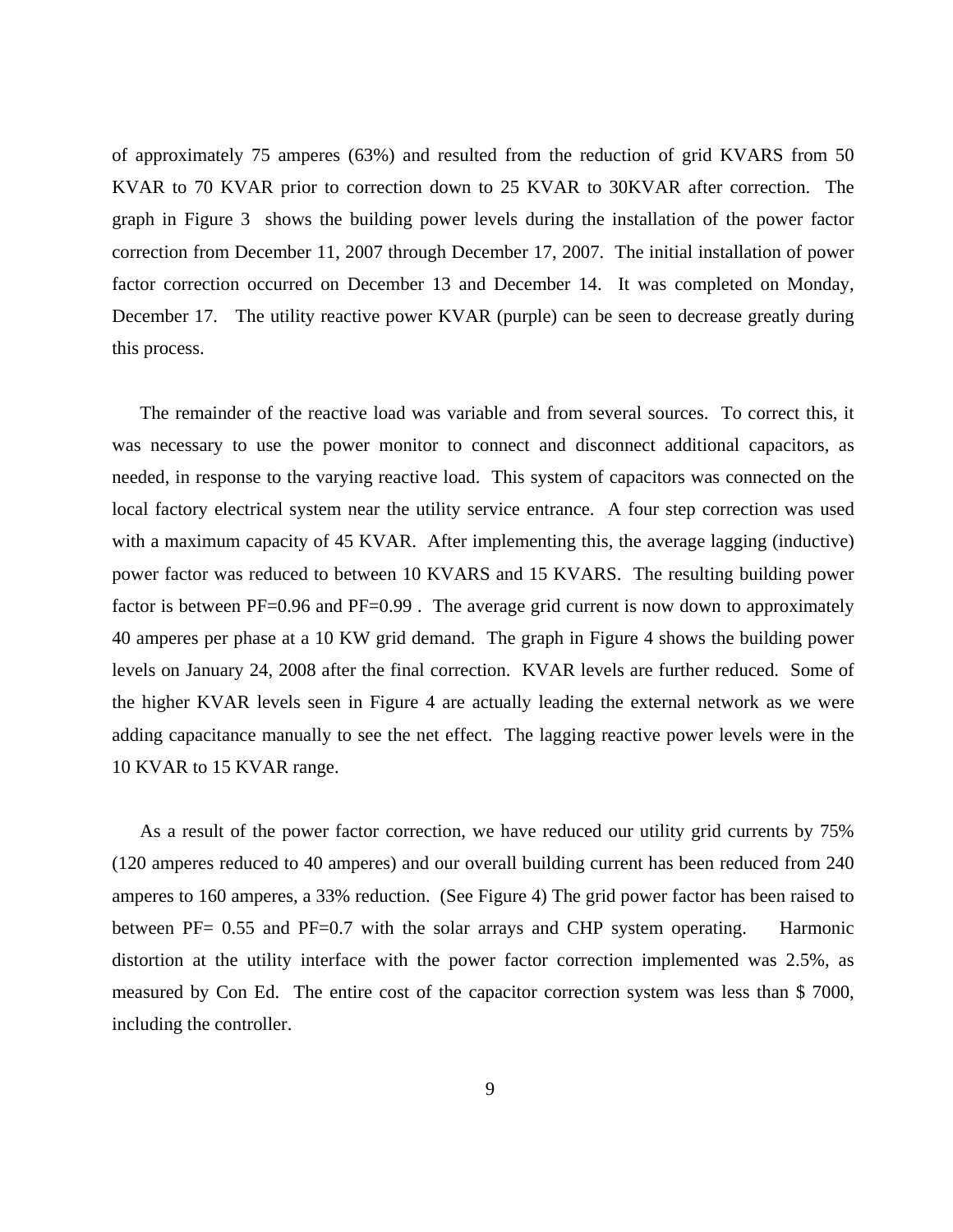of approximately 75 amperes (63%) and resulted from the reduction of grid KVARS from 50 KVAR to 70 KVAR prior to correction down to 25 KVAR to 30KVAR after correction. The graph in Figure 3 shows the building power levels during the installation of the power factor correction from December 11, 2007 through December 17, 2007. The initial installation of power factor correction occurred on December 13 and December 14. It was completed on Monday, December 17. The utility reactive power KVAR (purple) can be seen to decrease greatly during this process.

The remainder of the reactive load was variable and from several sources. To correct this, it was necessary to use the power monitor to connect and disconnect additional capacitors, as needed, in response to the varying reactive load. This system of capacitors was connected on the local factory electrical system near the utility service entrance. A four step correction was used with a maximum capacity of 45 KVAR. After implementing this, the average lagging (inductive) power factor was reduced to between 10 KVARS and 15 KVARS. The resulting building power factor is between PF=0.96 and PF=0.99. The average grid current is now down to approximately 40 amperes per phase at a 10 KW grid demand. The graph in Figure 4 shows the building power levels on January 24, 2008 after the final correction. KVAR levels are further reduced. Some of the higher KVAR levels seen in Figure 4 are actually leading the external network as we were adding capacitance manually to see the net effect. The lagging reactive power levels were in the 10 KVAR to 15 KVAR range.

As a result of the power factor correction, we have reduced our utility grid currents by 75% (120 amperes reduced to 40 amperes) and our overall building current has been reduced from 240 amperes to 160 amperes, a 33% reduction. (See Figure 4) The grid power factor has been raised to between PF= 0.55 and PF=0.7 with the solar arrays and CHP system operating. Harmonic distortion at the utility interface with the power factor correction implemented was 2.5%, as measured by Con Ed. The entire cost of the capacitor correction system was less than \$ 7000, including the controller.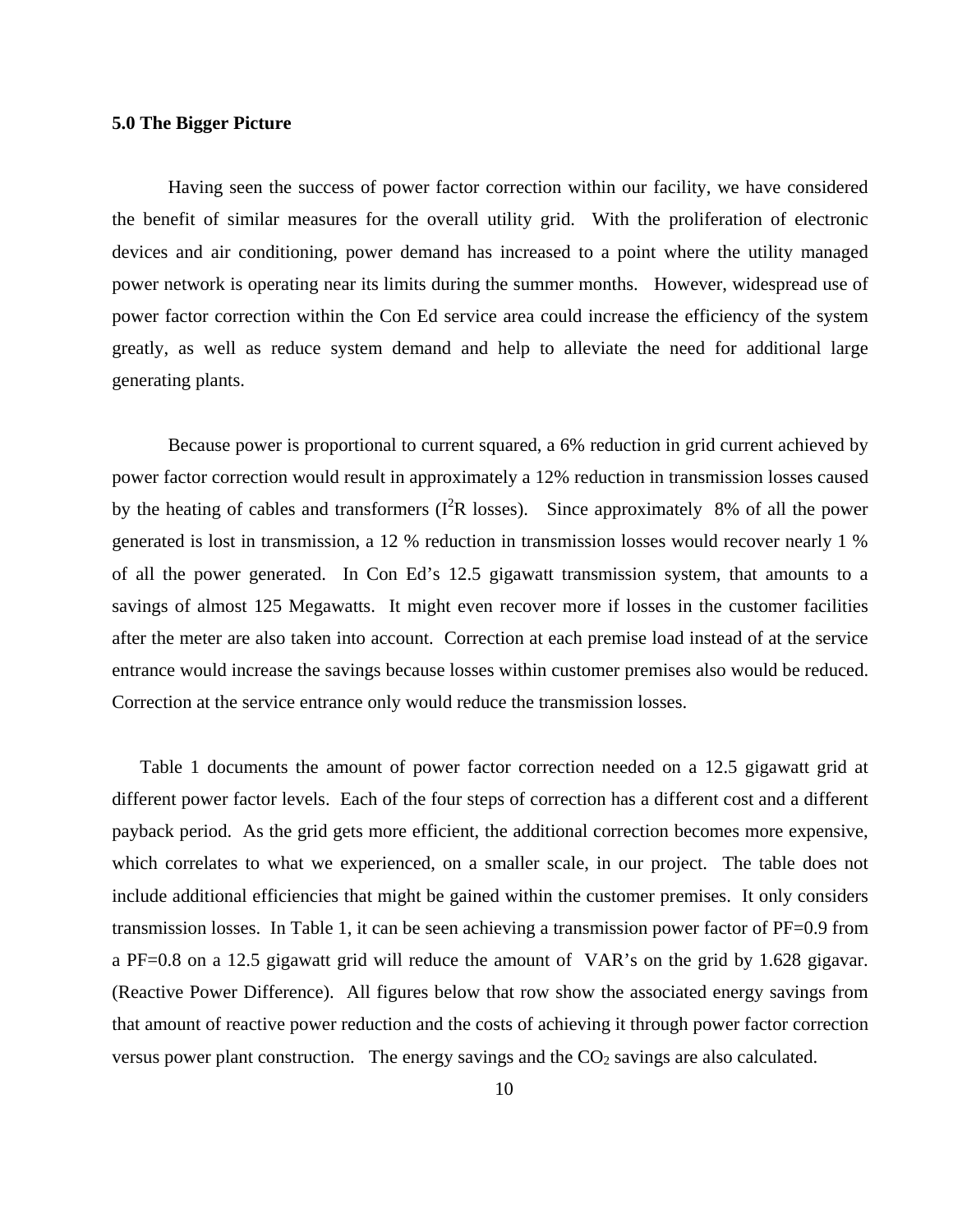### **5.0 The Bigger Picture**

Having seen the success of power factor correction within our facility, we have considered the benefit of similar measures for the overall utility grid. With the proliferation of electronic devices and air conditioning, power demand has increased to a point where the utility managed power network is operating near its limits during the summer months. However, widespread use of power factor correction within the Con Ed service area could increase the efficiency of the system greatly, as well as reduce system demand and help to alleviate the need for additional large generating plants.

Because power is proportional to current squared, a 6% reduction in grid current achieved by power factor correction would result in approximately a 12% reduction in transmission losses caused by the heating of cables and transformers ( $I^2R$  losses). Since approximately 8% of all the power generated is lost in transmission, a 12 % reduction in transmission losses would recover nearly 1 % of all the power generated. In Con Ed's 12.5 gigawatt transmission system, that amounts to a savings of almost 125 Megawatts. It might even recover more if losses in the customer facilities after the meter are also taken into account. Correction at each premise load instead of at the service entrance would increase the savings because losses within customer premises also would be reduced. Correction at the service entrance only would reduce the transmission losses.

Table 1 documents the amount of power factor correction needed on a 12.5 gigawatt grid at different power factor levels. Each of the four steps of correction has a different cost and a different payback period. As the grid gets more efficient, the additional correction becomes more expensive, which correlates to what we experienced, on a smaller scale, in our project. The table does not include additional efficiencies that might be gained within the customer premises. It only considers transmission losses. In Table 1, it can be seen achieving a transmission power factor of PF=0.9 from a PF=0.8 on a 12.5 gigawatt grid will reduce the amount of VAR's on the grid by 1.628 gigavar. (Reactive Power Difference). All figures below that row show the associated energy savings from that amount of reactive power reduction and the costs of achieving it through power factor correction versus power plant construction. The energy savings and the  $CO<sub>2</sub>$  savings are also calculated.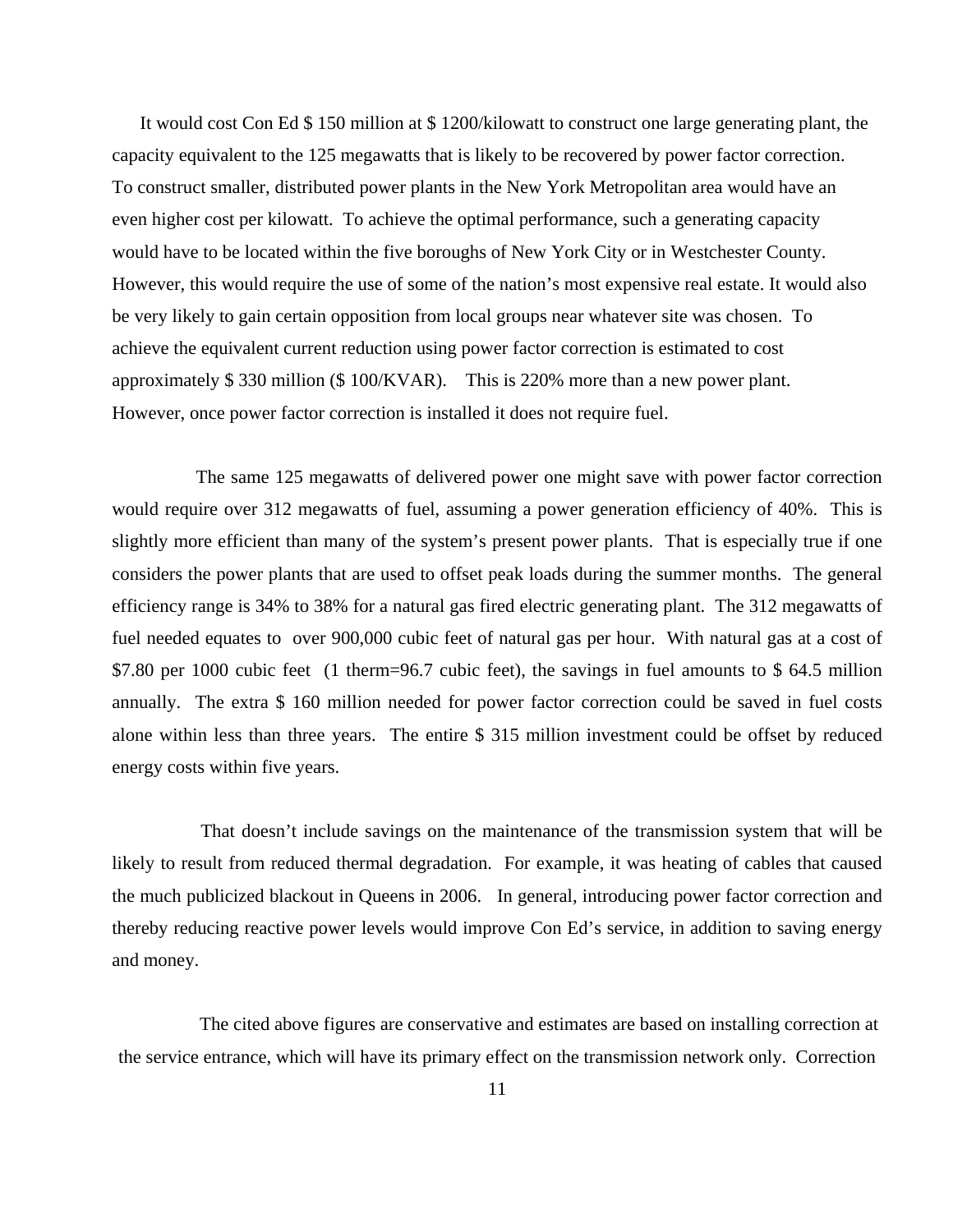It would cost Con Ed \$ 150 million at \$ 1200/kilowatt to construct one large generating plant, the capacity equivalent to the 125 megawatts that is likely to be recovered by power factor correction. To construct smaller, distributed power plants in the New York Metropolitan area would have an even higher cost per kilowatt. To achieve the optimal performance, such a generating capacity would have to be located within the five boroughs of New York City or in Westchester County. However, this would require the use of some of the nation's most expensive real estate. It would also be very likely to gain certain opposition from local groups near whatever site was chosen. To achieve the equivalent current reduction using power factor correction is estimated to cost approximately \$ 330 million (\$ 100/KVAR). This is 220% more than a new power plant. However, once power factor correction is installed it does not require fuel.

The same 125 megawatts of delivered power one might save with power factor correction would require over 312 megawatts of fuel, assuming a power generation efficiency of 40%. This is slightly more efficient than many of the system's present power plants. That is especially true if one considers the power plants that are used to offset peak loads during the summer months. The general efficiency range is 34% to 38% for a natural gas fired electric generating plant. The 312 megawatts of fuel needed equates to over 900,000 cubic feet of natural gas per hour. With natural gas at a cost of \$7.80 per 1000 cubic feet (1 therm=96.7 cubic feet), the savings in fuel amounts to \$64.5 million annually. The extra \$ 160 million needed for power factor correction could be saved in fuel costs alone within less than three years. The entire \$ 315 million investment could be offset by reduced energy costs within five years.

 That doesn't include savings on the maintenance of the transmission system that will be likely to result from reduced thermal degradation. For example, it was heating of cables that caused the much publicized blackout in Queens in 2006. In general, introducing power factor correction and thereby reducing reactive power levels would improve Con Ed's service, in addition to saving energy and money.

The cited above figures are conservative and estimates are based on installing correction at the service entrance, which will have its primary effect on the transmission network only. Correction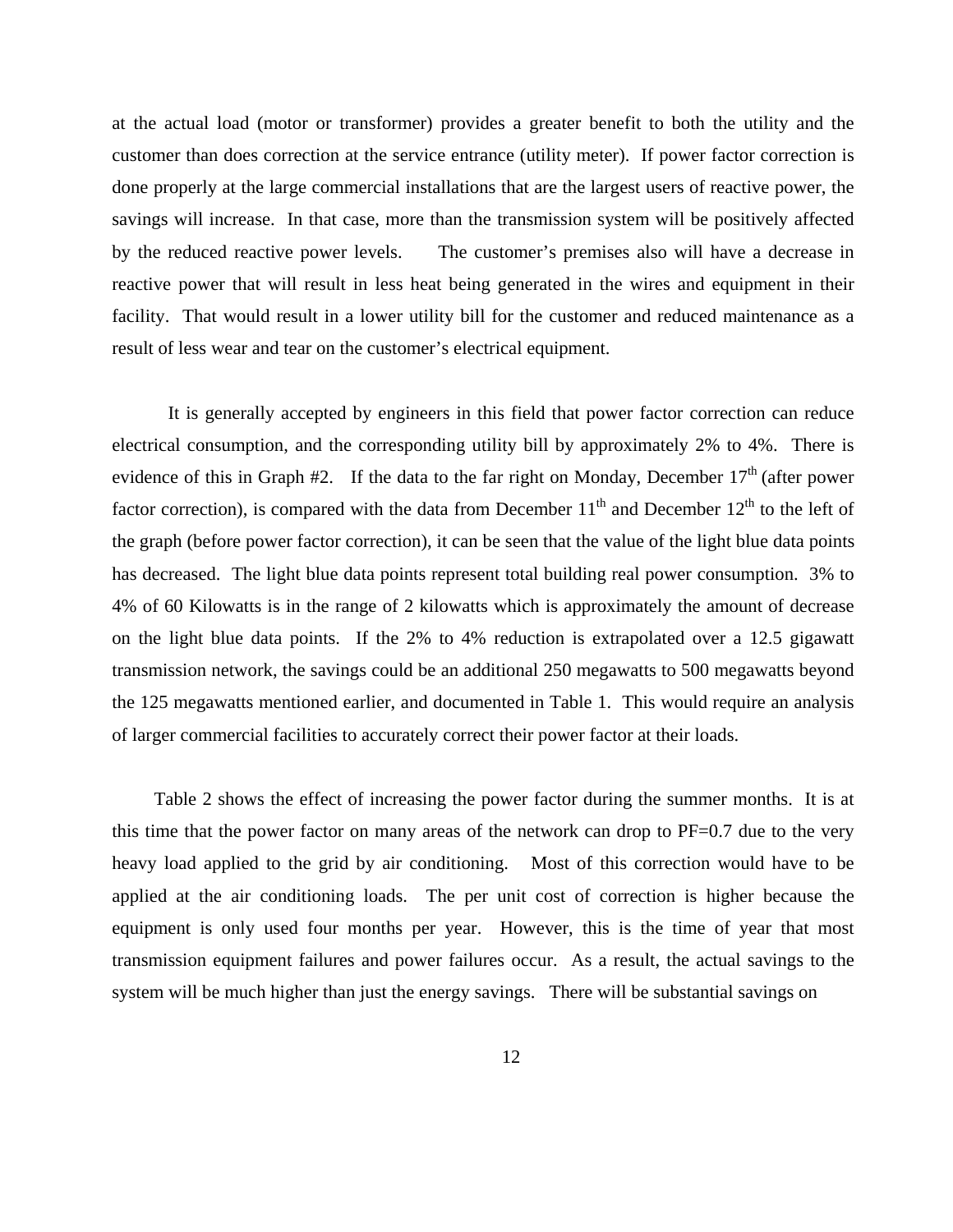at the actual load (motor or transformer) provides a greater benefit to both the utility and the customer than does correction at the service entrance (utility meter). If power factor correction is done properly at the large commercial installations that are the largest users of reactive power, the savings will increase. In that case, more than the transmission system will be positively affected by the reduced reactive power levels. The customer's premises also will have a decrease in reactive power that will result in less heat being generated in the wires and equipment in their facility. That would result in a lower utility bill for the customer and reduced maintenance as a result of less wear and tear on the customer's electrical equipment.

It is generally accepted by engineers in this field that power factor correction can reduce electrical consumption, and the corresponding utility bill by approximately 2% to 4%. There is evidence of this in Graph  $#2$ . If the data to the far right on Monday, December  $17<sup>th</sup>$  (after power factor correction), is compared with the data from December  $11<sup>th</sup>$  and December  $12<sup>th</sup>$  to the left of the graph (before power factor correction), it can be seen that the value of the light blue data points has decreased. The light blue data points represent total building real power consumption. 3% to 4% of 60 Kilowatts is in the range of 2 kilowatts which is approximately the amount of decrease on the light blue data points. If the 2% to 4% reduction is extrapolated over a 12.5 gigawatt transmission network, the savings could be an additional 250 megawatts to 500 megawatts beyond the 125 megawatts mentioned earlier, and documented in Table 1. This would require an analysis of larger commercial facilities to accurately correct their power factor at their loads.

Table 2 shows the effect of increasing the power factor during the summer months. It is at this time that the power factor on many areas of the network can drop to PF=0.7 due to the very heavy load applied to the grid by air conditioning. Most of this correction would have to be applied at the air conditioning loads. The per unit cost of correction is higher because the equipment is only used four months per year. However, this is the time of year that most transmission equipment failures and power failures occur. As a result, the actual savings to the system will be much higher than just the energy savings. There will be substantial savings on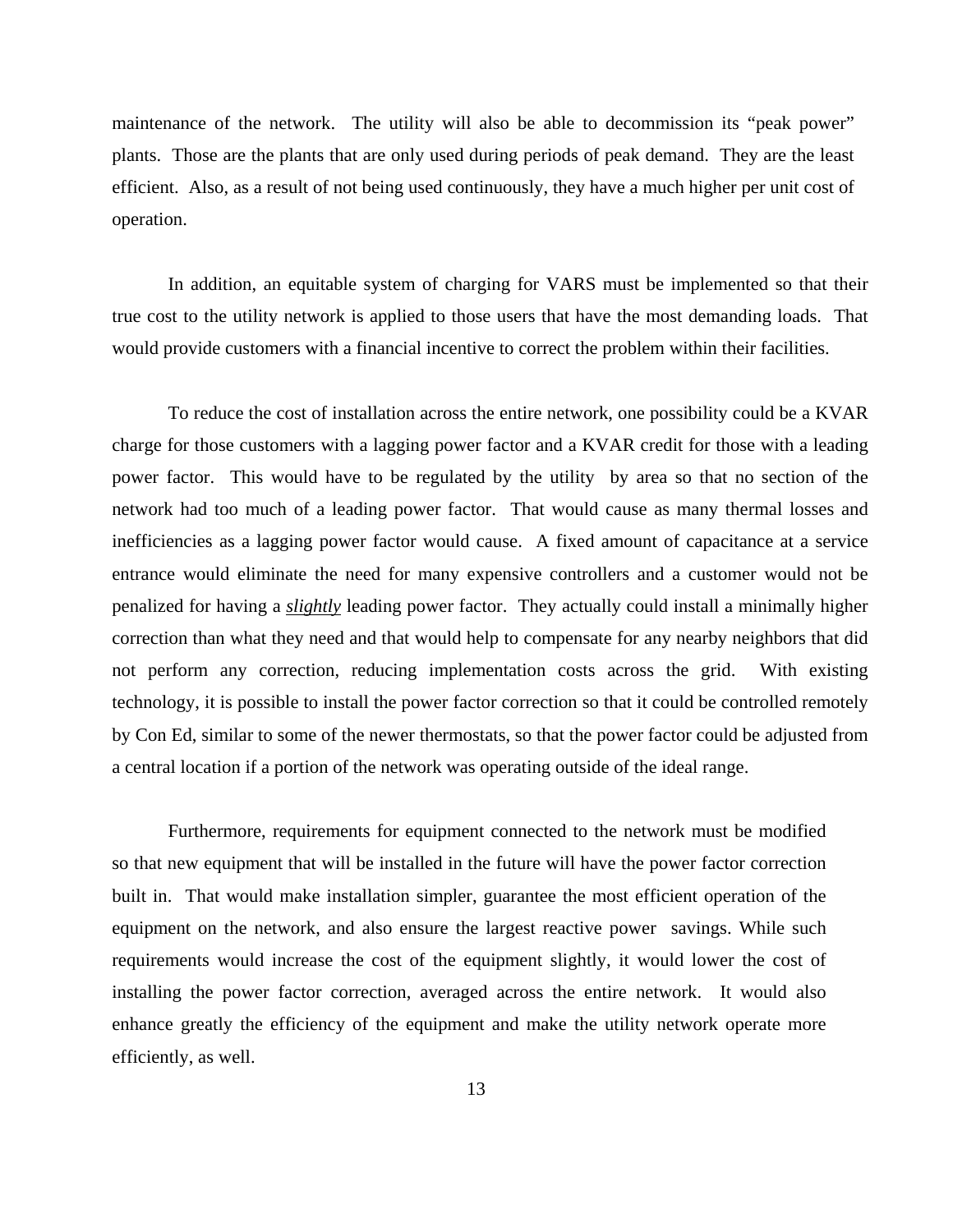maintenance of the network. The utility will also be able to decommission its "peak power" plants. Those are the plants that are only used during periods of peak demand. They are the least efficient. Also, as a result of not being used continuously, they have a much higher per unit cost of operation.

In addition, an equitable system of charging for VARS must be implemented so that their true cost to the utility network is applied to those users that have the most demanding loads. That would provide customers with a financial incentive to correct the problem within their facilities.

To reduce the cost of installation across the entire network, one possibility could be a KVAR charge for those customers with a lagging power factor and a KVAR credit for those with a leading power factor. This would have to be regulated by the utility by area so that no section of the network had too much of a leading power factor. That would cause as many thermal losses and inefficiencies as a lagging power factor would cause. A fixed amount of capacitance at a service entrance would eliminate the need for many expensive controllers and a customer would not be penalized for having a *slightly* leading power factor. They actually could install a minimally higher correction than what they need and that would help to compensate for any nearby neighbors that did not perform any correction, reducing implementation costs across the grid. With existing technology, it is possible to install the power factor correction so that it could be controlled remotely by Con Ed, similar to some of the newer thermostats, so that the power factor could be adjusted from a central location if a portion of the network was operating outside of the ideal range.

Furthermore, requirements for equipment connected to the network must be modified so that new equipment that will be installed in the future will have the power factor correction built in. That would make installation simpler, guarantee the most efficient operation of the equipment on the network, and also ensure the largest reactive power savings. While such requirements would increase the cost of the equipment slightly, it would lower the cost of installing the power factor correction, averaged across the entire network. It would also enhance greatly the efficiency of the equipment and make the utility network operate more efficiently, as well.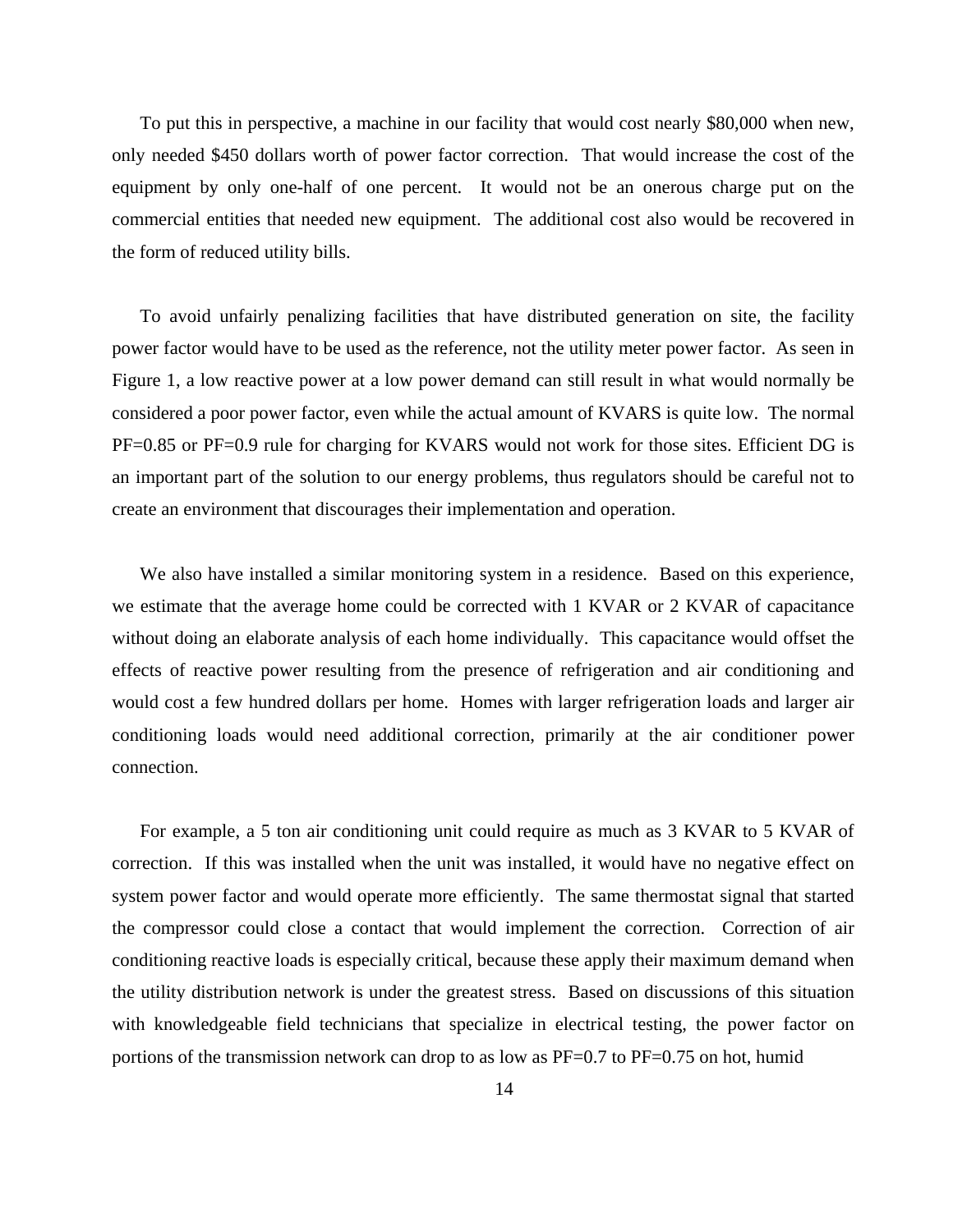To put this in perspective, a machine in our facility that would cost nearly \$80,000 when new, only needed \$450 dollars worth of power factor correction. That would increase the cost of the equipment by only one-half of one percent. It would not be an onerous charge put on the commercial entities that needed new equipment. The additional cost also would be recovered in the form of reduced utility bills.

To avoid unfairly penalizing facilities that have distributed generation on site, the facility power factor would have to be used as the reference, not the utility meter power factor. As seen in Figure 1, a low reactive power at a low power demand can still result in what would normally be considered a poor power factor, even while the actual amount of KVARS is quite low. The normal PF=0.85 or PF=0.9 rule for charging for KVARS would not work for those sites. Efficient DG is an important part of the solution to our energy problems, thus regulators should be careful not to create an environment that discourages their implementation and operation.

We also have installed a similar monitoring system in a residence. Based on this experience, we estimate that the average home could be corrected with 1 KVAR or 2 KVAR of capacitance without doing an elaborate analysis of each home individually. This capacitance would offset the effects of reactive power resulting from the presence of refrigeration and air conditioning and would cost a few hundred dollars per home. Homes with larger refrigeration loads and larger air conditioning loads would need additional correction, primarily at the air conditioner power connection.

For example, a 5 ton air conditioning unit could require as much as 3 KVAR to 5 KVAR of correction. If this was installed when the unit was installed, it would have no negative effect on system power factor and would operate more efficiently. The same thermostat signal that started the compressor could close a contact that would implement the correction. Correction of air conditioning reactive loads is especially critical, because these apply their maximum demand when the utility distribution network is under the greatest stress. Based on discussions of this situation with knowledgeable field technicians that specialize in electrical testing, the power factor on portions of the transmission network can drop to as low as PF=0.7 to PF=0.75 on hot, humid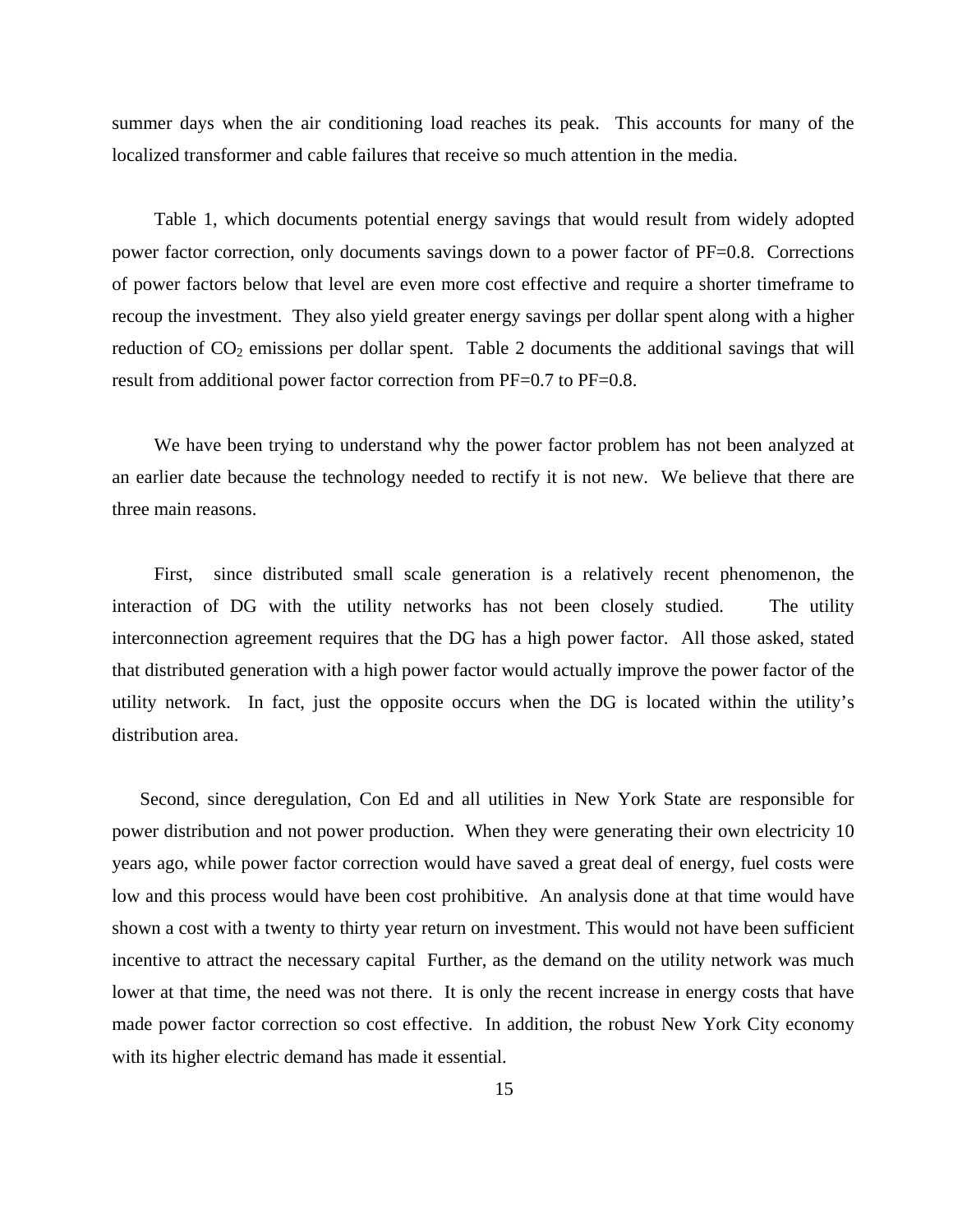summer days when the air conditioning load reaches its peak. This accounts for many of the localized transformer and cable failures that receive so much attention in the media.

Table 1, which documents potential energy savings that would result from widely adopted power factor correction, only documents savings down to a power factor of PF=0.8. Corrections of power factors below that level are even more cost effective and require a shorter timeframe to recoup the investment. They also yield greater energy savings per dollar spent along with a higher reduction of  $CO<sub>2</sub>$  emissions per dollar spent. Table 2 documents the additional savings that will result from additional power factor correction from PF=0.7 to PF=0.8.

We have been trying to understand why the power factor problem has not been analyzed at an earlier date because the technology needed to rectify it is not new. We believe that there are three main reasons.

First, since distributed small scale generation is a relatively recent phenomenon, the interaction of DG with the utility networks has not been closely studied. The utility interconnection agreement requires that the DG has a high power factor. All those asked, stated that distributed generation with a high power factor would actually improve the power factor of the utility network. In fact, just the opposite occurs when the DG is located within the utility's distribution area.

Second, since deregulation, Con Ed and all utilities in New York State are responsible for power distribution and not power production. When they were generating their own electricity 10 years ago, while power factor correction would have saved a great deal of energy, fuel costs were low and this process would have been cost prohibitive. An analysis done at that time would have shown a cost with a twenty to thirty year return on investment. This would not have been sufficient incentive to attract the necessary capital Further, as the demand on the utility network was much lower at that time, the need was not there. It is only the recent increase in energy costs that have made power factor correction so cost effective. In addition, the robust New York City economy with its higher electric demand has made it essential.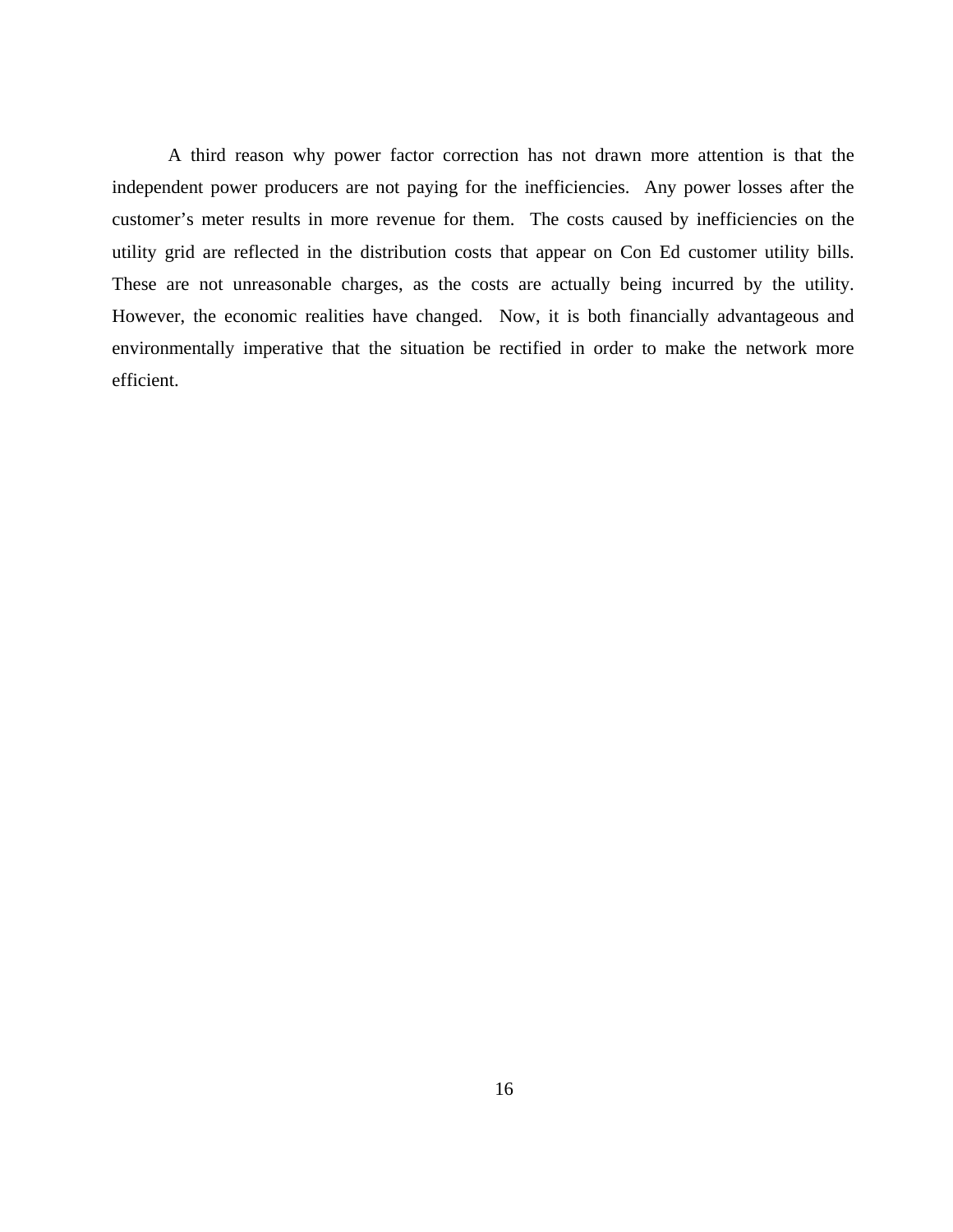A third reason why power factor correction has not drawn more attention is that the independent power producers are not paying for the inefficiencies. Any power losses after the customer's meter results in more revenue for them. The costs caused by inefficiencies on the utility grid are reflected in the distribution costs that appear on Con Ed customer utility bills. These are not unreasonable charges, as the costs are actually being incurred by the utility. However, the economic realities have changed. Now, it is both financially advantageous and environmentally imperative that the situation be rectified in order to make the network more efficient.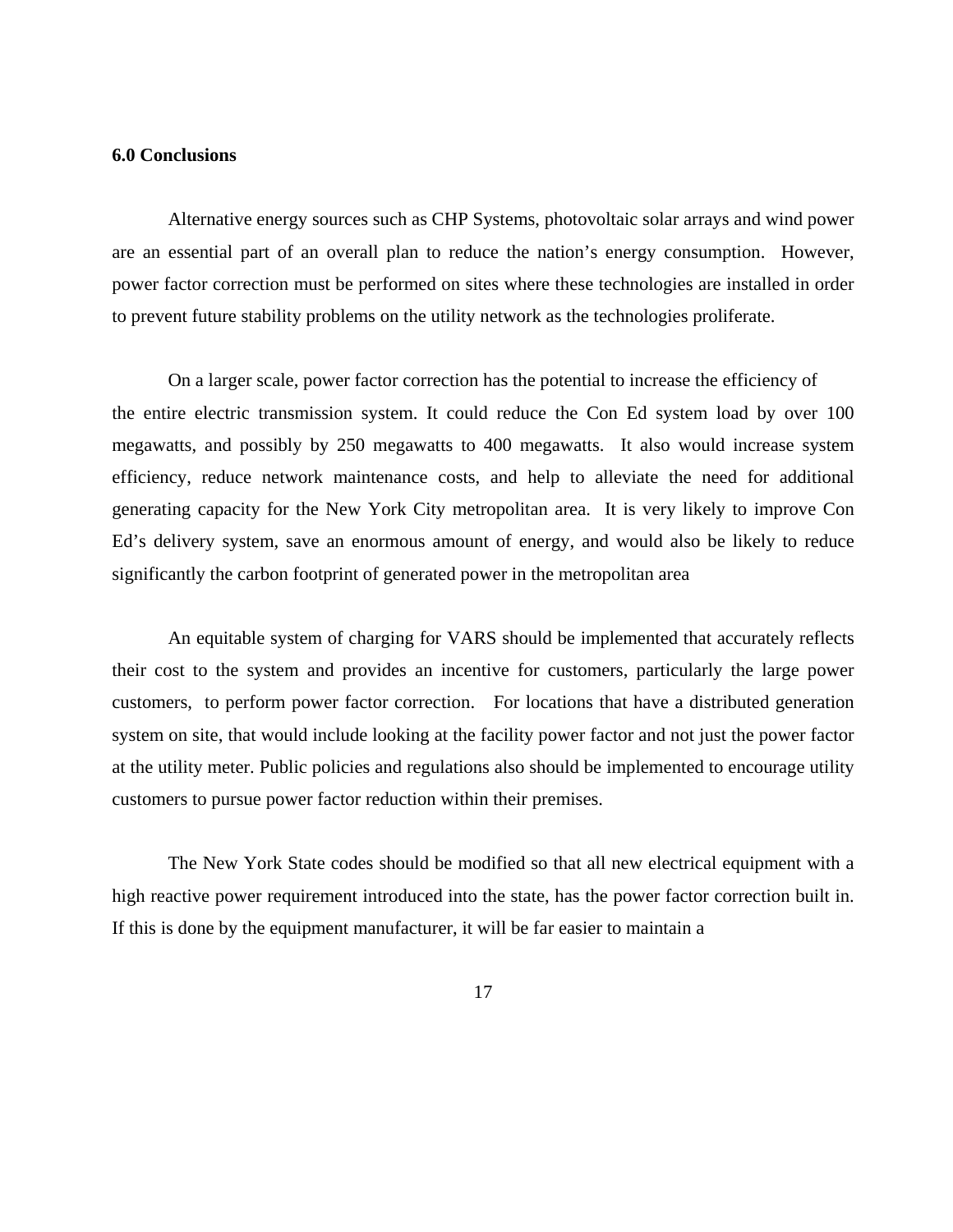#### **6.0 Conclusions**

Alternative energy sources such as CHP Systems, photovoltaic solar arrays and wind power are an essential part of an overall plan to reduce the nation's energy consumption. However, power factor correction must be performed on sites where these technologies are installed in order to prevent future stability problems on the utility network as the technologies proliferate.

On a larger scale, power factor correction has the potential to increase the efficiency of the entire electric transmission system. It could reduce the Con Ed system load by over 100 megawatts, and possibly by 250 megawatts to 400 megawatts. It also would increase system efficiency, reduce network maintenance costs, and help to alleviate the need for additional generating capacity for the New York City metropolitan area. It is very likely to improve Con Ed's delivery system, save an enormous amount of energy, and would also be likely to reduce significantly the carbon footprint of generated power in the metropolitan area

An equitable system of charging for VARS should be implemented that accurately reflects their cost to the system and provides an incentive for customers, particularly the large power customers, to perform power factor correction. For locations that have a distributed generation system on site, that would include looking at the facility power factor and not just the power factor at the utility meter. Public policies and regulations also should be implemented to encourage utility customers to pursue power factor reduction within their premises.

The New York State codes should be modified so that all new electrical equipment with a high reactive power requirement introduced into the state, has the power factor correction built in. If this is done by the equipment manufacturer, it will be far easier to maintain a

17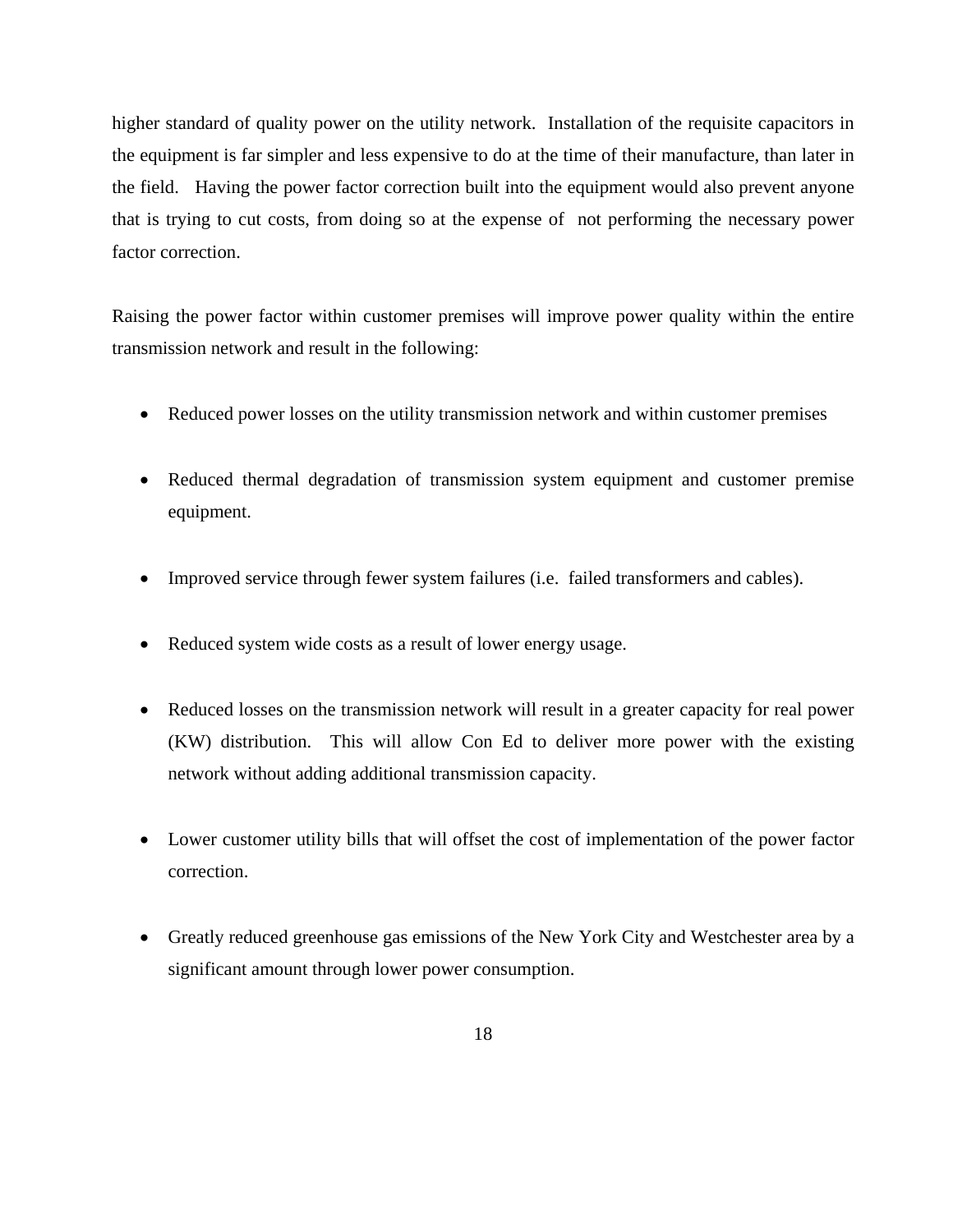higher standard of quality power on the utility network. Installation of the requisite capacitors in the equipment is far simpler and less expensive to do at the time of their manufacture, than later in the field. Having the power factor correction built into the equipment would also prevent anyone that is trying to cut costs, from doing so at the expense of not performing the necessary power factor correction.

Raising the power factor within customer premises will improve power quality within the entire transmission network and result in the following:

- Reduced power losses on the utility transmission network and within customer premises
- Reduced thermal degradation of transmission system equipment and customer premise equipment.
- Improved service through fewer system failures (i.e. failed transformers and cables).
- Reduced system wide costs as a result of lower energy usage.
- Reduced losses on the transmission network will result in a greater capacity for real power (KW) distribution. This will allow Con Ed to deliver more power with the existing network without adding additional transmission capacity.
- Lower customer utility bills that will offset the cost of implementation of the power factor correction.
- Greatly reduced greenhouse gas emissions of the New York City and Westchester area by a significant amount through lower power consumption.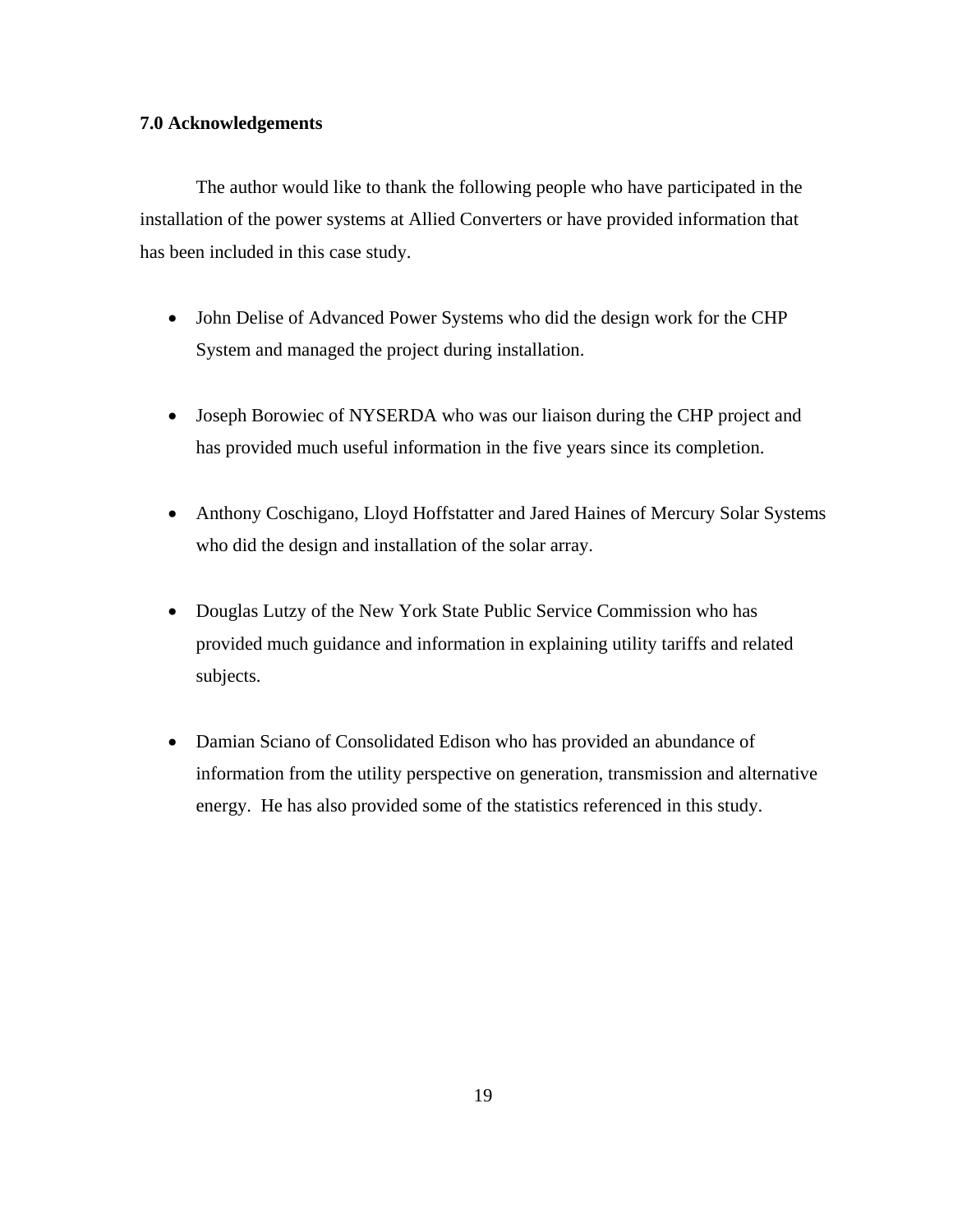### **7.0 Acknowledgements**

The author would like to thank the following people who have participated in the installation of the power systems at Allied Converters or have provided information that has been included in this case study.

- John Delise of Advanced Power Systems who did the design work for the CHP System and managed the project during installation.
- Joseph Borowiec of NYSERDA who was our liaison during the CHP project and has provided much useful information in the five years since its completion.
- Anthony Coschigano, Lloyd Hoffstatter and Jared Haines of Mercury Solar Systems who did the design and installation of the solar array.
- Douglas Lutzy of the New York State Public Service Commission who has provided much guidance and information in explaining utility tariffs and related subjects.
- Damian Sciano of Consolidated Edison who has provided an abundance of information from the utility perspective on generation, transmission and alternative energy. He has also provided some of the statistics referenced in this study.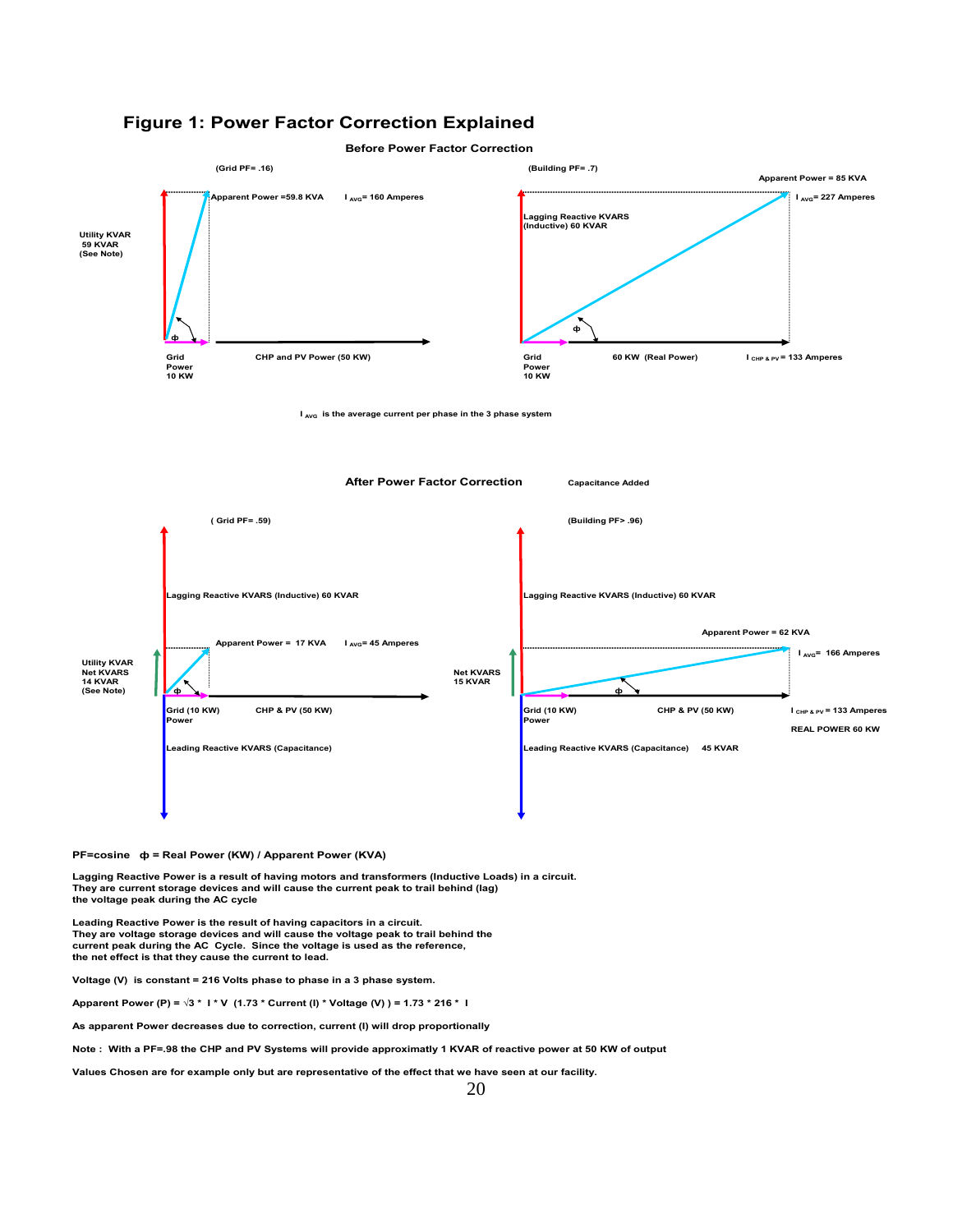

**Before Power Factor Correction**



**PF=cosine ф = Real Power (KW) / Apparent Power (KVA)**

**Lagging Reactive Power is a result of having motors and transformers (Inductive Loads) in a circuit. They are current storage devices and will cause the current peak to trail behind (lag) the voltage peak during the AC cycle**

**Leading Reactive Power is the result of having capacitors in a circuit. They are voltage storage devices and will cause the voltage peak to trail behind the current peak during the AC Cycle. Since the voltage is used as the reference, the net effect is that they cause the current to lead.**

**Voltage (V) is constant = 216 Volts phase to phase in a 3 phase system.**

**Apparent Power (P) = √3 \* I \* V (1.73 \* Current (I) \* Voltage (V) ) = 1.73 \* 216 \* I**

**As apparent Power decreases due to correction, current (I) will drop proportionally**

**Note : With a PF=.98 the CHP and PV Systems will provide approximatly 1 KVAR of reactive power at 50 KW of output**

**Values Chosen are for example only but are representative of the effect that we have seen at our facility.**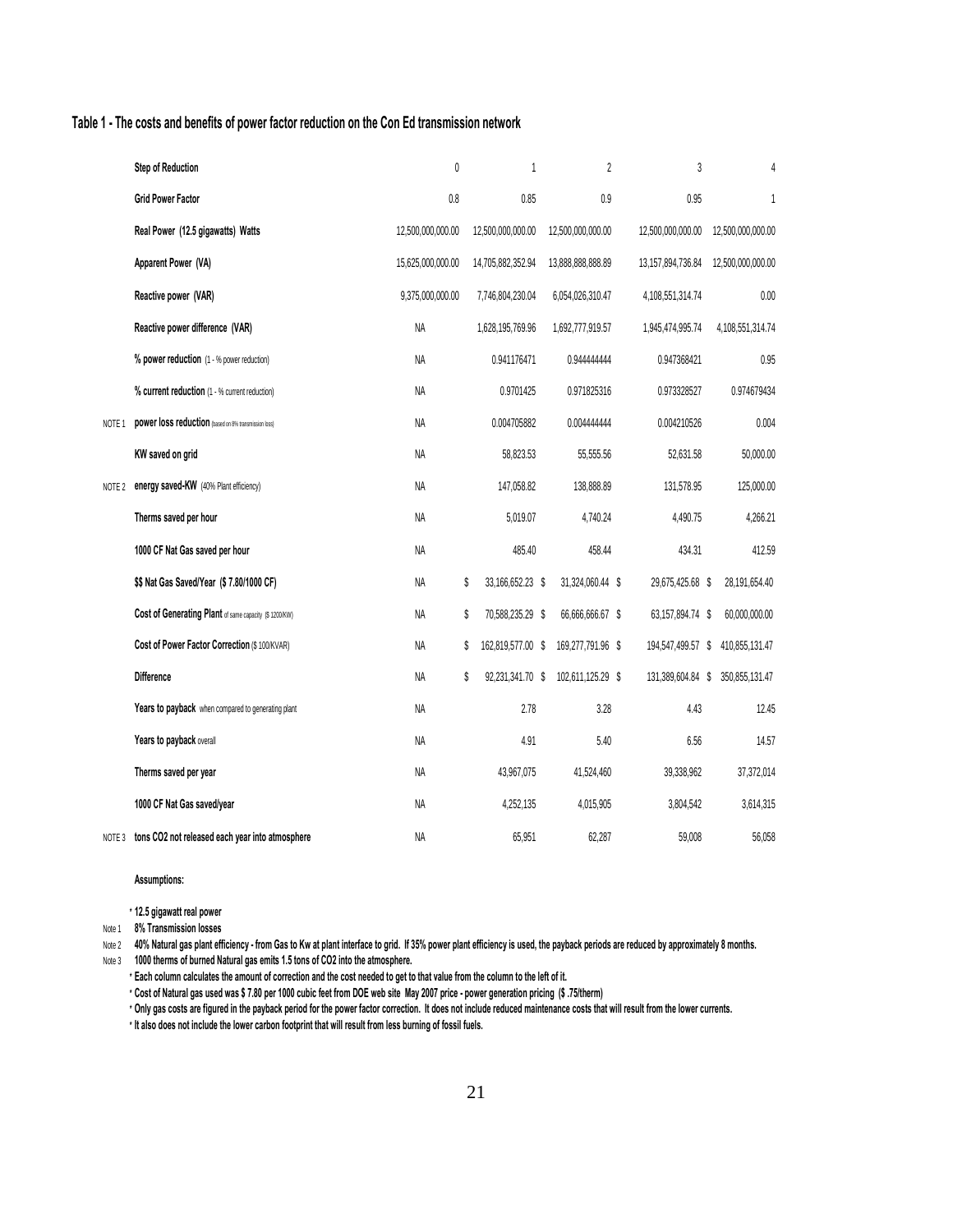#### **Table 1 - The costs and benefits of power factor reduction on the Con Ed transmission network**

|                   | <b>Step of Reduction</b>                               | $\mathbf{0}$      | 1                       | $\overline{2}$    | 3                    | 4                 |
|-------------------|--------------------------------------------------------|-------------------|-------------------------|-------------------|----------------------|-------------------|
|                   | <b>Grid Power Factor</b>                               | 0.8               | 0.85                    | 0.9               | 0.95                 | 1                 |
|                   | Real Power (12.5 gigawatts) Watts                      | 12,500,000,000.00 | 12,500,000,000.00       | 12,500,000,000.00 | 12,500,000,000.00    | 12,500,000,000.00 |
|                   | Apparent Power (VA)                                    | 15,625,000,000.00 | 14,705,882,352.94       | 13,888,888,888.89 | 13, 157, 894, 736.84 | 12,500,000,000.00 |
|                   | Reactive power (VAR)                                   | 9,375,000,000.00  | 7,746,804,230.04        | 6,054,026,310.47  | 4,108,551,314.74     | 0.00              |
|                   | Reactive power difference (VAR)                        | <b>NA</b>         | 1,628,195,769.96        | 1,692,777,919.57  | 1,945,474,995.74     | 4,108,551,314.74  |
|                   | % power reduction (1 - % power reduction)              | NA                | 0.941176471             | 0.94444444        | 0.947368421          | 0.95              |
|                   | % current reduction (1 - % current reduction)          | <b>NA</b>         | 0.9701425               | 0.971825316       | 0.973328527          | 0.974679434       |
| NOTE <sub>1</sub> | power loss reduction (based on 8% transmission loss)   | NA                | 0.004705882             | 0.004444444       | 0.004210526          | 0.004             |
|                   | KW saved on grid                                       | NA                | 58,823.53               | 55,555.56         | 52,631.58            | 50,000.00         |
| NOTE 2            | energy saved-KW (40% Plant efficiency)                 | NA                | 147,058.82              | 138,888.89        | 131,578.95           | 125,000.00        |
|                   | Therms saved per hour                                  | NA                | 5.019.07                | 4.740.24          | 4,490.75             | 4.266.21          |
|                   | 1000 CF Nat Gas saved per hour                         | NA                | 485.40                  | 458.44            | 434.31               | 412.59            |
|                   | \$\$ Nat Gas Saved/Year (\$7.80/1000 CF)               | NA                | \$<br>33,166,652.23 \$  | 31,324,060.44 \$  | 29,675,425.68 \$     | 28,191,654.40     |
|                   | Cost of Generating Plant of same capacity (\$ 1200/KW) | <b>NA</b>         | \$<br>70,588,235.29 \$  | 66,666,666.67 \$  | 63,157,894.74 \$     | 60,000,000.00     |
|                   | Cost of Power Factor Correction (\$ 100/KVAR)          | NA                | \$<br>162,819,577.00 \$ | 169,277,791.96 \$ | 194,547,499.57 \$    | 410,855,131.47    |
|                   | <b>Difference</b>                                      | NA                | \$<br>92,231,341.70 \$  | 102,611,125.29 \$ | 131,389,604.84 \$    | 350,855,131.47    |
|                   | Years to payback when compared to generating plant     | NA                | 2.78                    | 3.28              | 4.43                 | 12.45             |
|                   | Years to payback overall                               | NA                | 4.91                    | 5.40              | 6.56                 | 14.57             |
|                   | Therms saved per year                                  | NA                | 43,967,075              | 41,524,460        | 39,338,962           | 37,372,014        |
|                   | 1000 CF Nat Gas saved/year                             | NA                | 4,252,135               | 4,015,905         | 3,804,542            | 3,614,315         |
| NOTE 3            | tons CO2 not released each year into atmosphere        | ΝA                | 65,951                  | 62,287            | 59,008               | 56,058            |

**Assumptions:**

**\* 12.5 gigawatt real power** 

Note 1 **8% Transmission losses** 

Note 2 40% Natural gas plant efficiency - from Gas to Kw at plant interface to grid. If 35% power plant efficiency is used, the payback periods are reduced by approximately 8 months.

Note 3 **1000 therms of burned Natural gas emits 1.5 tons of CO2 into the atmosphere.**

**\* Each column calculates the amount of correction and the cost needed to get to that value from the column to the left of it.**

**\* Cost of Natural gas used was \$ 7.80 per 1000 cubic feet from DOE web site May 2007 price - power generation pricing (\$ .75/therm)**

**\* Only gas costs are figured in the payback period for the power factor correction. It does not include reduced maintenance costs that will result from the lower currents.**

**\* It also does not include the lower carbon footprint that will result from less burning of fossil fuels.**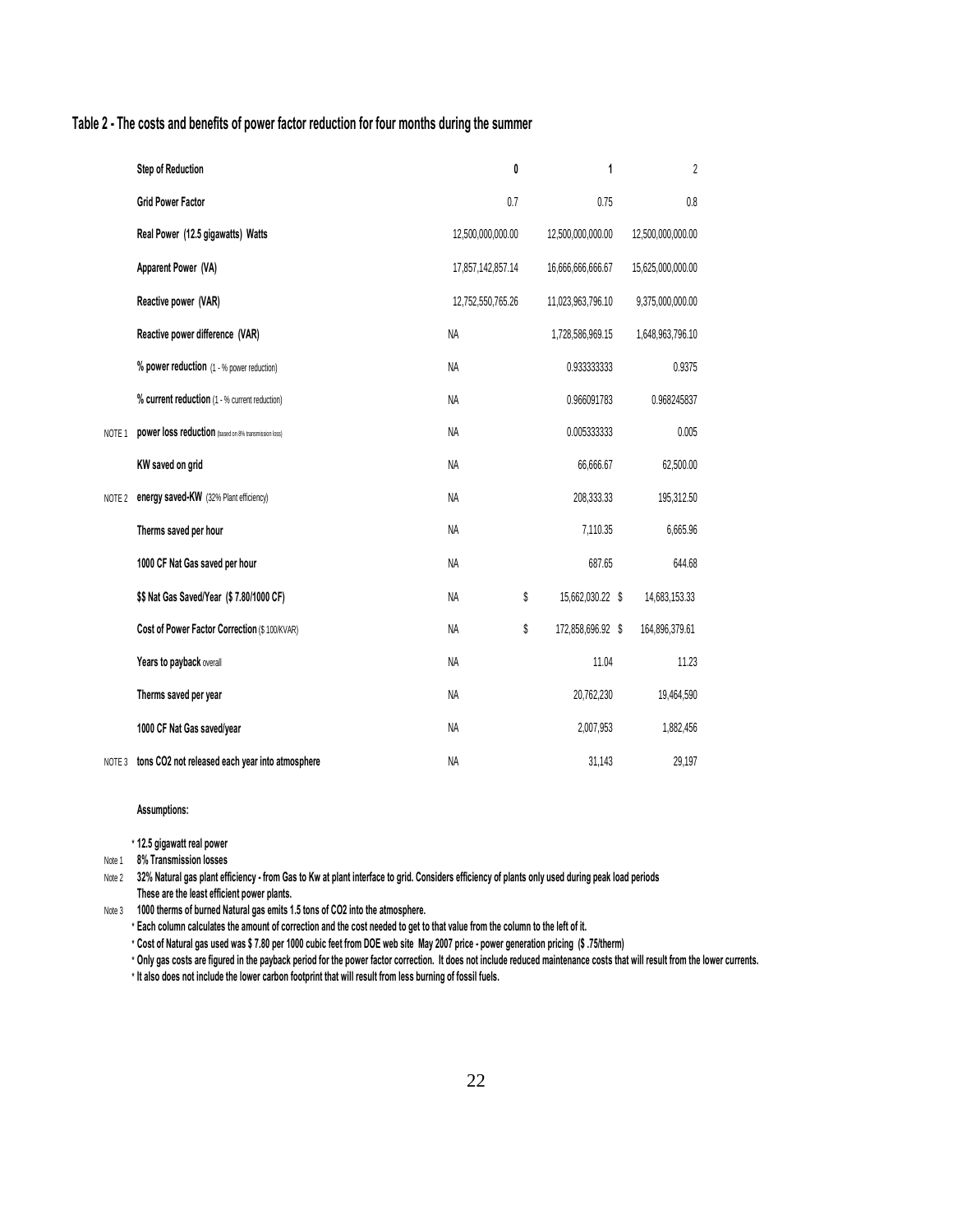#### **Table 2 - The costs and benefits of power factor reduction for four months during the summer**

|                   | <b>Step of Reduction</b>                             | 0                 | 1                 | $\overline{2}$    |
|-------------------|------------------------------------------------------|-------------------|-------------------|-------------------|
|                   | <b>Grid Power Factor</b>                             | 0.7               | 0.75              | 0.8               |
|                   | Real Power (12.5 gigawatts) Watts                    | 12,500,000,000.00 | 12,500,000,000.00 | 12,500,000,000.00 |
|                   | Apparent Power (VA)                                  | 17,857,142,857.14 | 16,666,666,666.67 | 15,625,000,000.00 |
|                   | Reactive power (VAR)                                 | 12,752,550,765.26 | 11,023,963,796.10 | 9,375,000,000.00  |
|                   | Reactive power difference (VAR)                      | <b>NA</b>         | 1,728,586,969.15  | 1,648,963,796.10  |
|                   | % power reduction (1 - % power reduction)            | <b>NA</b>         | 0.933333333       | 0.9375            |
|                   | % current reduction (1 - % current reduction)        | <b>NA</b>         | 0.966091783       | 0.968245837       |
| NOTE <sub>1</sub> | power loss reduction (based on 8% transmission loss) | NA                | 0.005333333       | 0.005             |
|                   | KW saved on grid                                     | <b>NA</b>         | 66,666.67         | 62,500.00         |
| NOTE 2            | energy saved-KW (32% Plant efficiency)               | <b>NA</b>         | 208,333.33        | 195,312.50        |
|                   | Therms saved per hour                                | <b>NA</b>         | 7,110.35          | 6,665.96          |
|                   | 1000 CF Nat Gas saved per hour                       | <b>NA</b>         | 687.65            | 644.68            |
|                   | \$\$ Nat Gas Saved/Year (\$7.80/1000 CF)             | \$<br><b>NA</b>   | 15,662,030.22 \$  | 14,683,153.33     |
|                   | Cost of Power Factor Correction (\$ 100/KVAR)        | \$<br><b>NA</b>   | 172,858,696.92 \$ | 164,896,379.61    |
|                   | Years to payback overall                             | <b>NA</b>         | 11.04             | 11.23             |
|                   | Therms saved per year                                | <b>NA</b>         | 20,762,230        | 19,464,590        |
|                   | 1000 CF Nat Gas saved/year                           | <b>NA</b>         | 2,007,953         | 1,882,456         |
| NOTE 3            | tons CO2 not released each year into atmosphere      | NA                | 31,143            | 29,197            |

#### **Assumptions:**

- **\* 12.5 gigawatt real power**
- Note 1 **8% Transmission losses**

Note 2 32% Natural gas plant efficiency - from Gas to Kw at plant interface to grid. Considers efficiency of plants only used during peak load periods **These are the least efficient power plants.**

- Note 3 **1000 therms of burned Natural gas emits 1.5 tons of CO2 into the atmosphere.**
	- **\* Each column calculates the amount of correction and the cost needed to get to that value from the column to the left of it.**

**\* Cost of Natural gas used was \$ 7.80 per 1000 cubic feet from DOE web site May 2007 price - power generation pricing (\$ .75/therm)**

**\* Only gas costs are figured in the payback period for the power factor correction. It does not include reduced maintenance costs that will result from the lower currents.**

**\* It also does not include the lower carbon footprint that will result from less burning of fossil fuels.**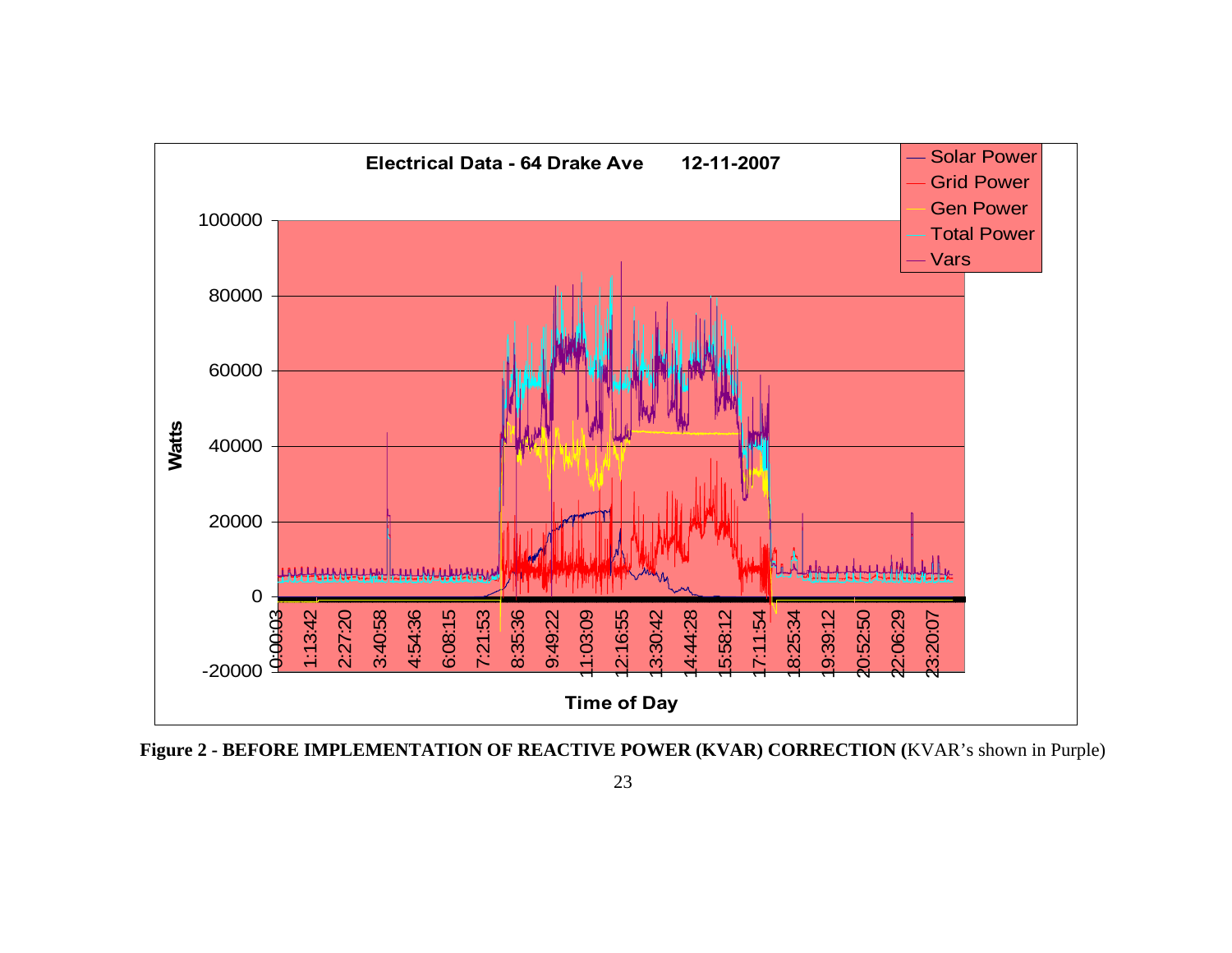

**Figure 2 - BEFORE IMPLEMENTATION OF REACTIVE POWER (KVAR) CORRECTION (**KVAR's shown in Purple)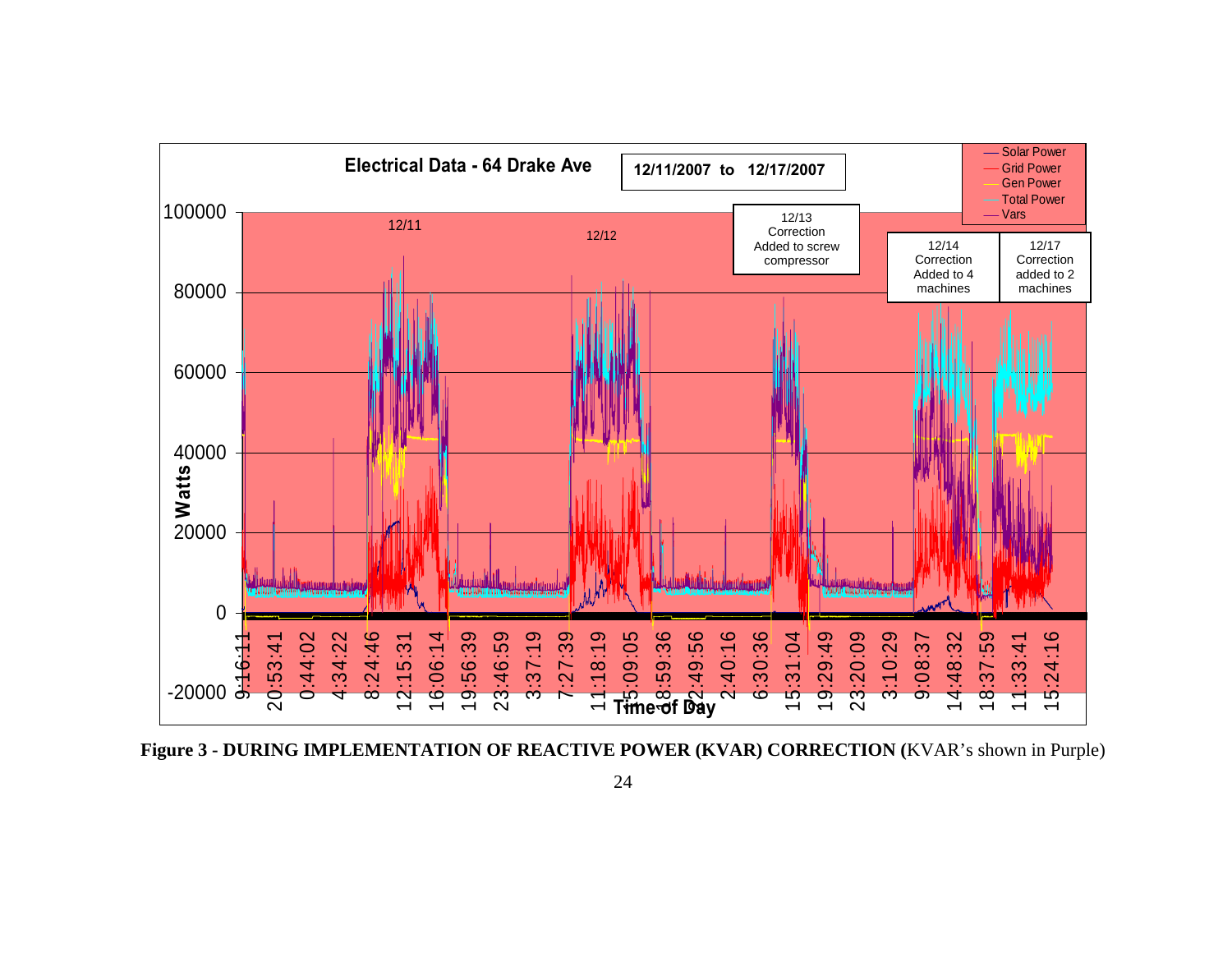

**Figure 3 - DURING IMPLEMENTATION OF REACTIVE POWER (KVAR) CORRECTION (**KVAR's shown in Purple)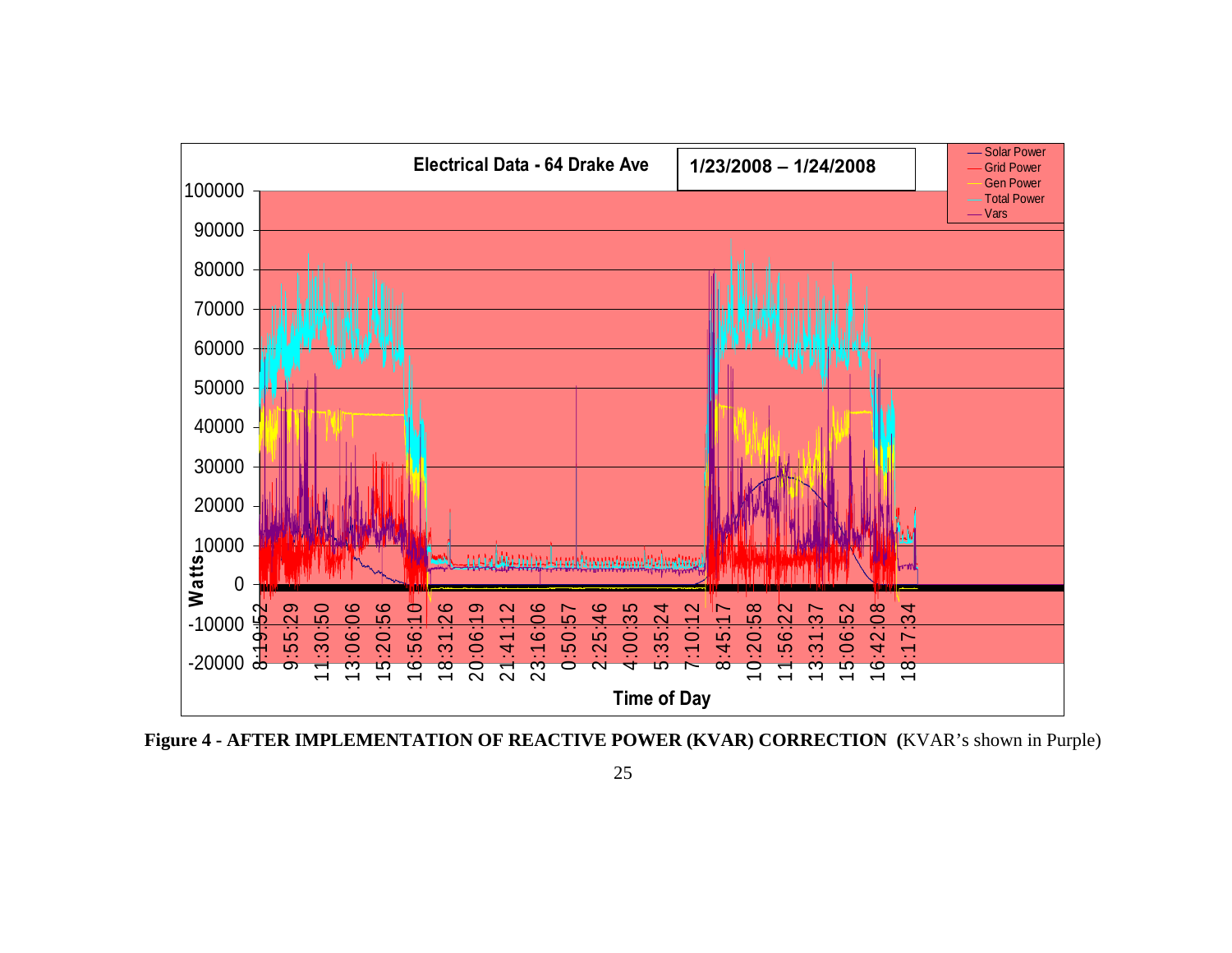

**Figure 4 - AFTER IMPLEMENTATION OF REACTIVE POWER (KVAR) CORRECTION (**KVAR's shown in Purple)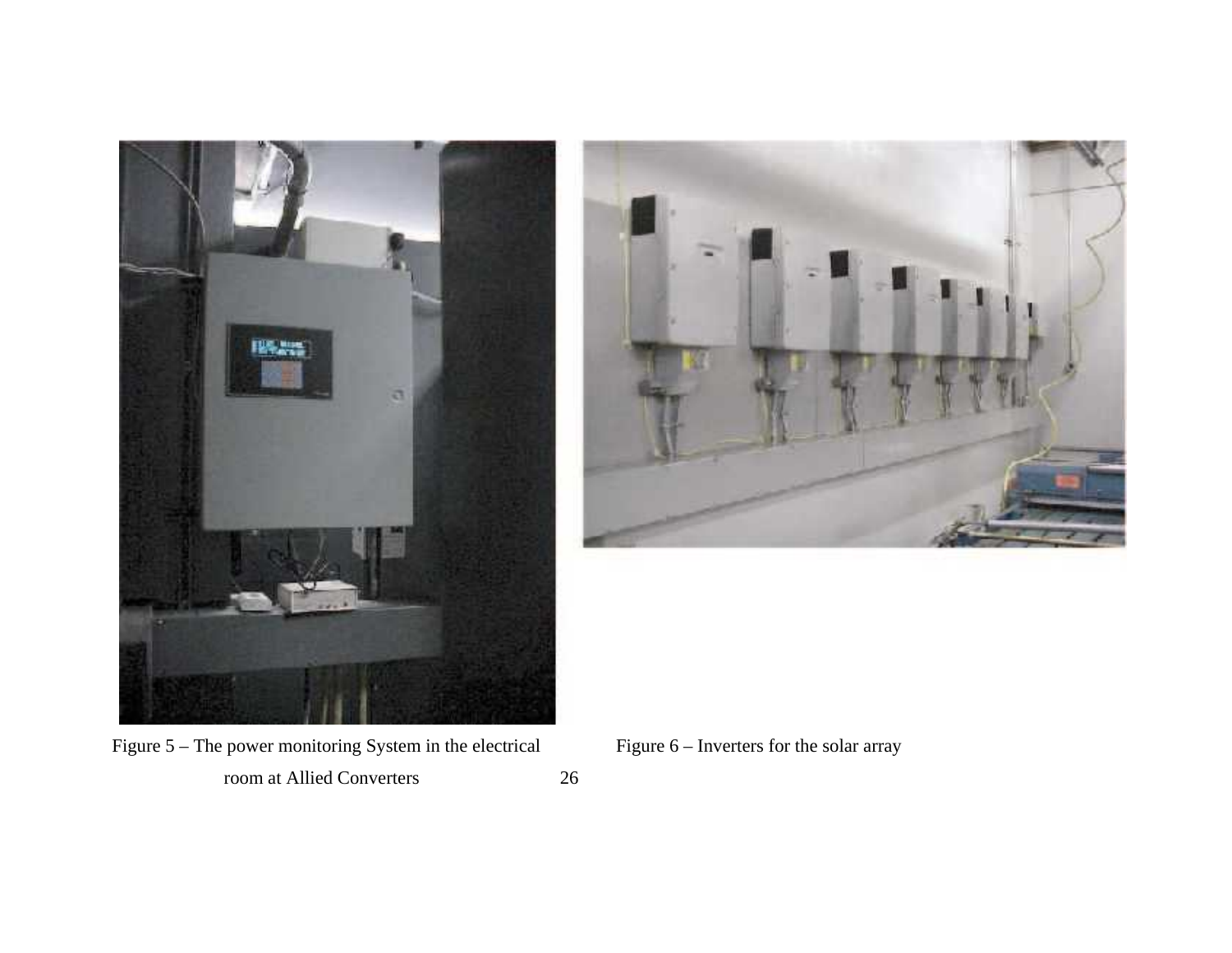



Figure 5 – The power monitoring System in the electrical Figure 6 – Inverters for the solar array room at Allied Converters 26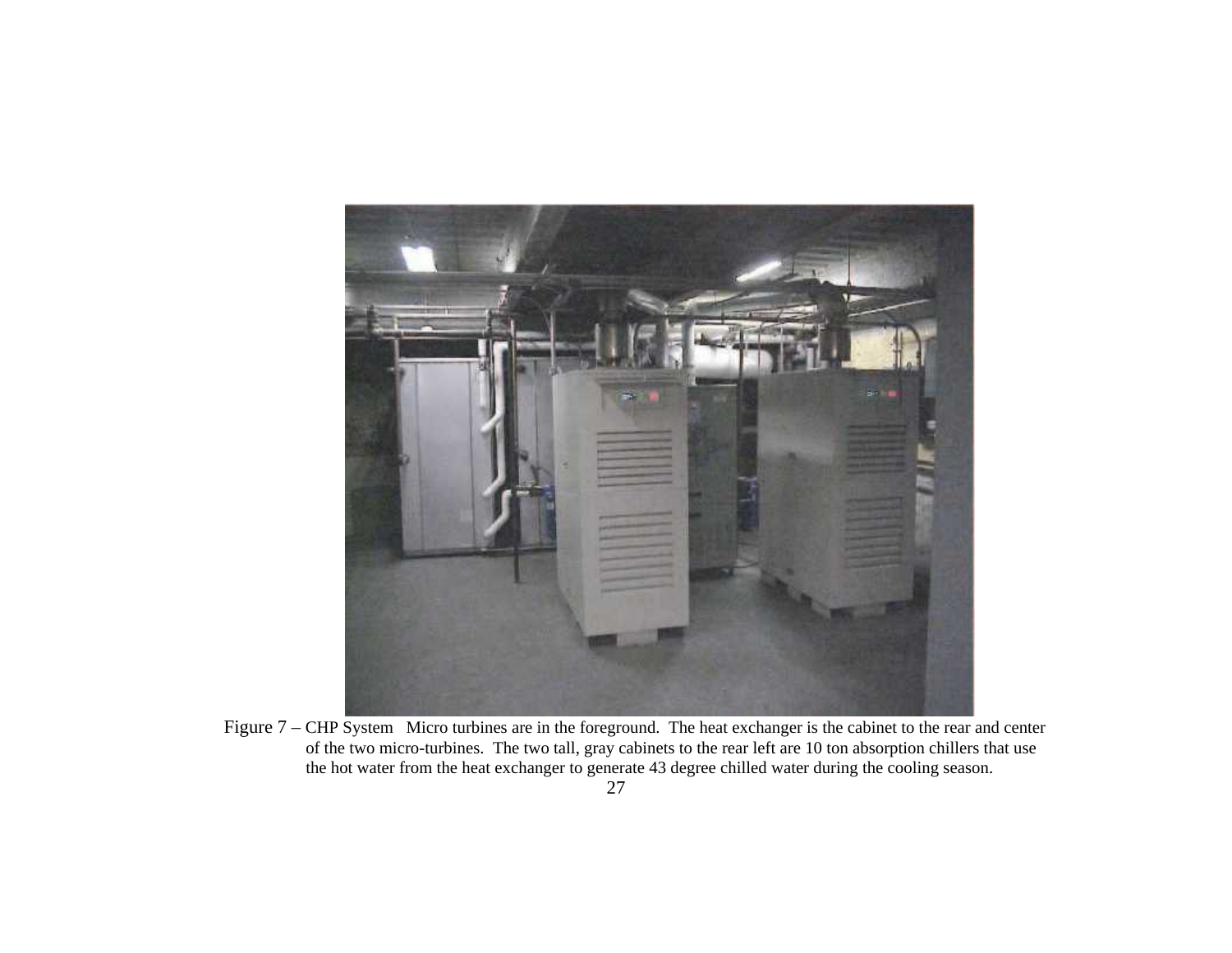

Figure 7 – CHP System Micro turbines are in the foreground. The heat exchanger is the cabinet to the rear and center of the two micro-turbines. The two tall, gray cabinets to the rear left are 10 ton absorption chillers that use the hot water from the heat exchanger to generate 43 degree chilled water during the cooling season.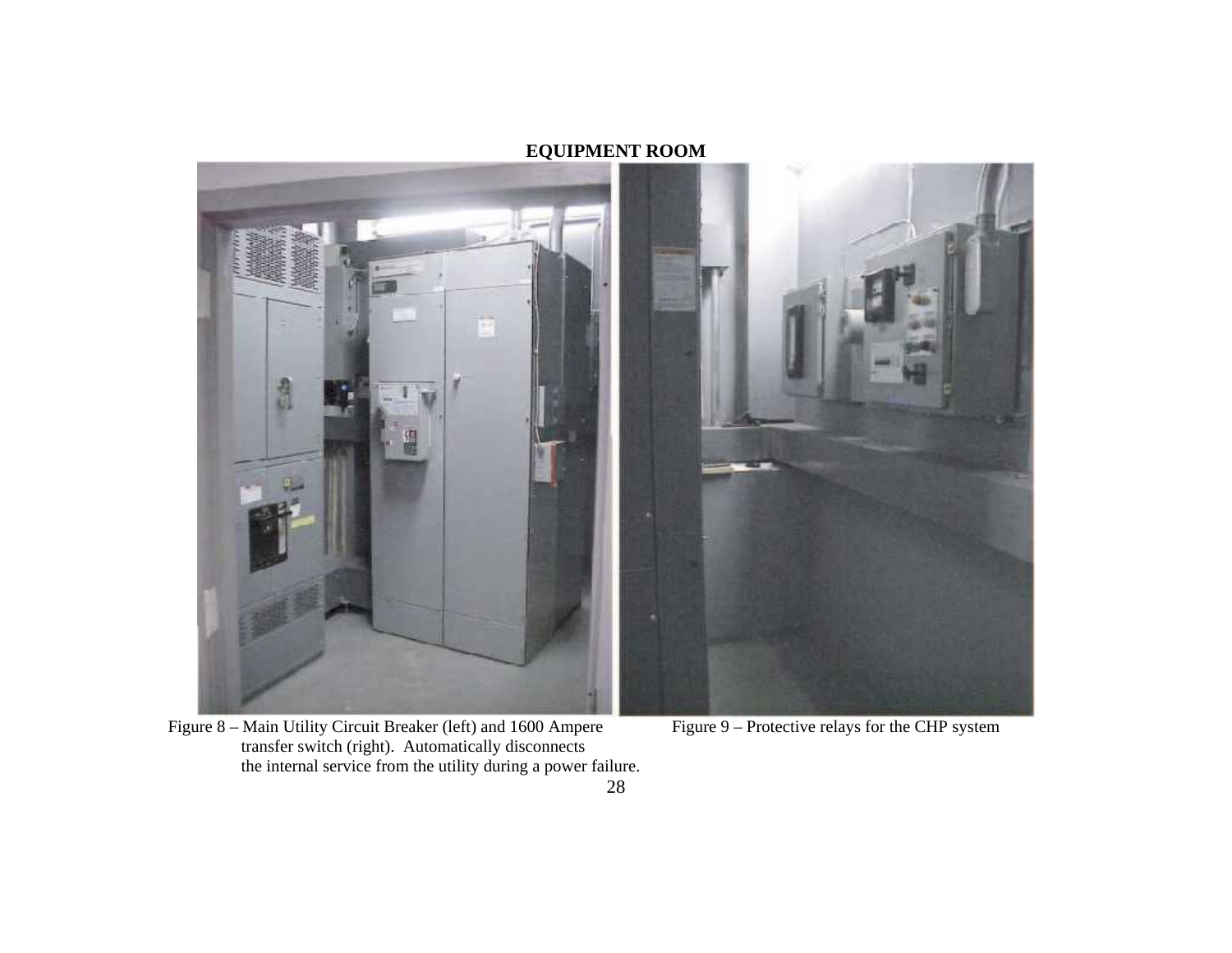## **EQUIPMENT ROOM**



Figure 8 – Main Utility Circuit Breaker (left) and 1600 Ampere Figure 9 – Protective relays for the CHP system transfer switch (right). Automatically disconnects the internal service from the utility during a power failure.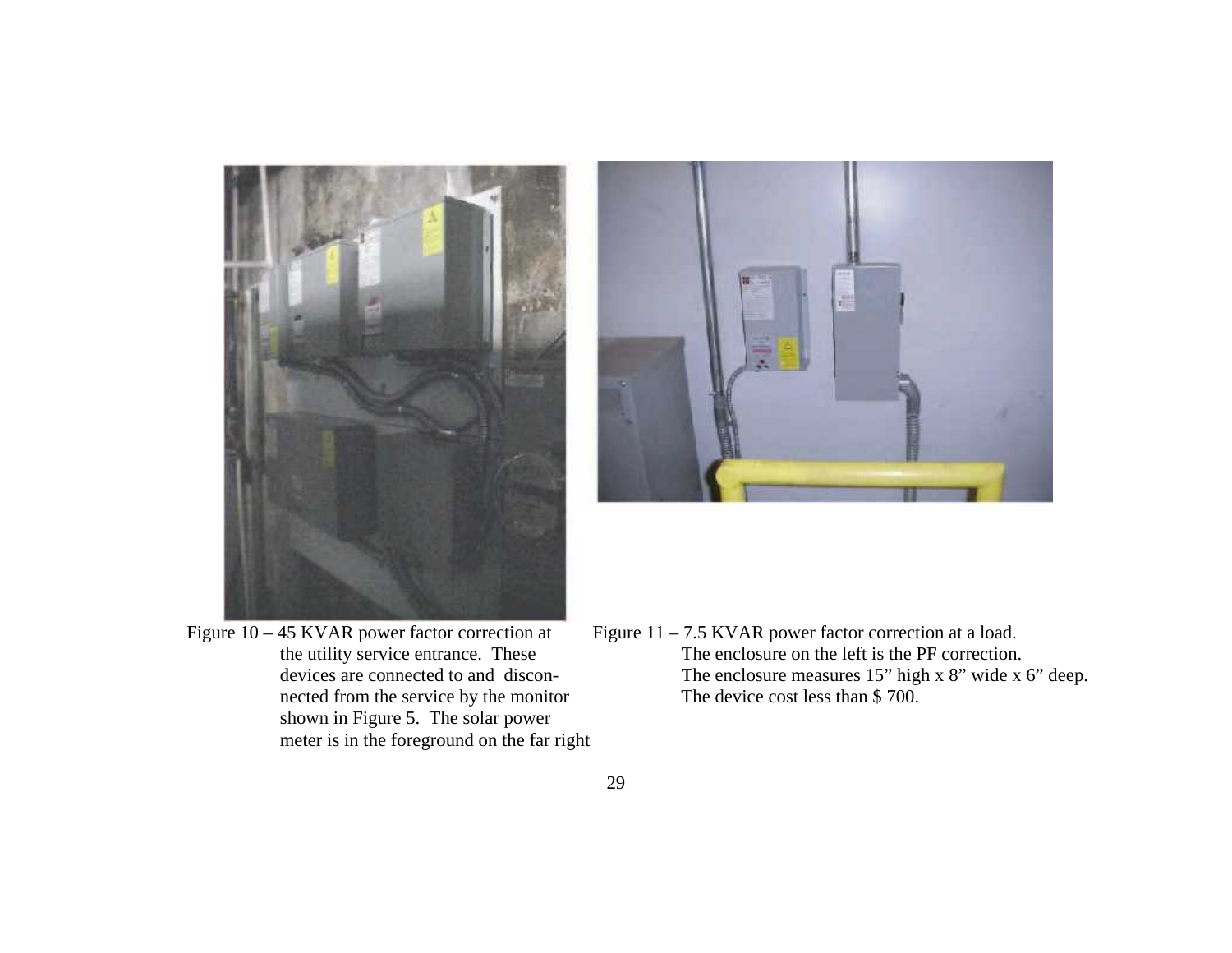

- nected from the service by the monitor shown in Figure 5. The solar power meter is in the foreground on the far right
- Figure  $10 45$  KVAR power factor correction at Figure  $11 7.5$  KVAR power factor correction at a load. the utility service entrance. These The enclosure on the left is the PF correction.<br>devices are connected to and discon-<br>The enclosure measures 15" high x 8" wide x The enclosure measures 15" high x 8" wide x 6" deep.<br>The device cost less than \$700.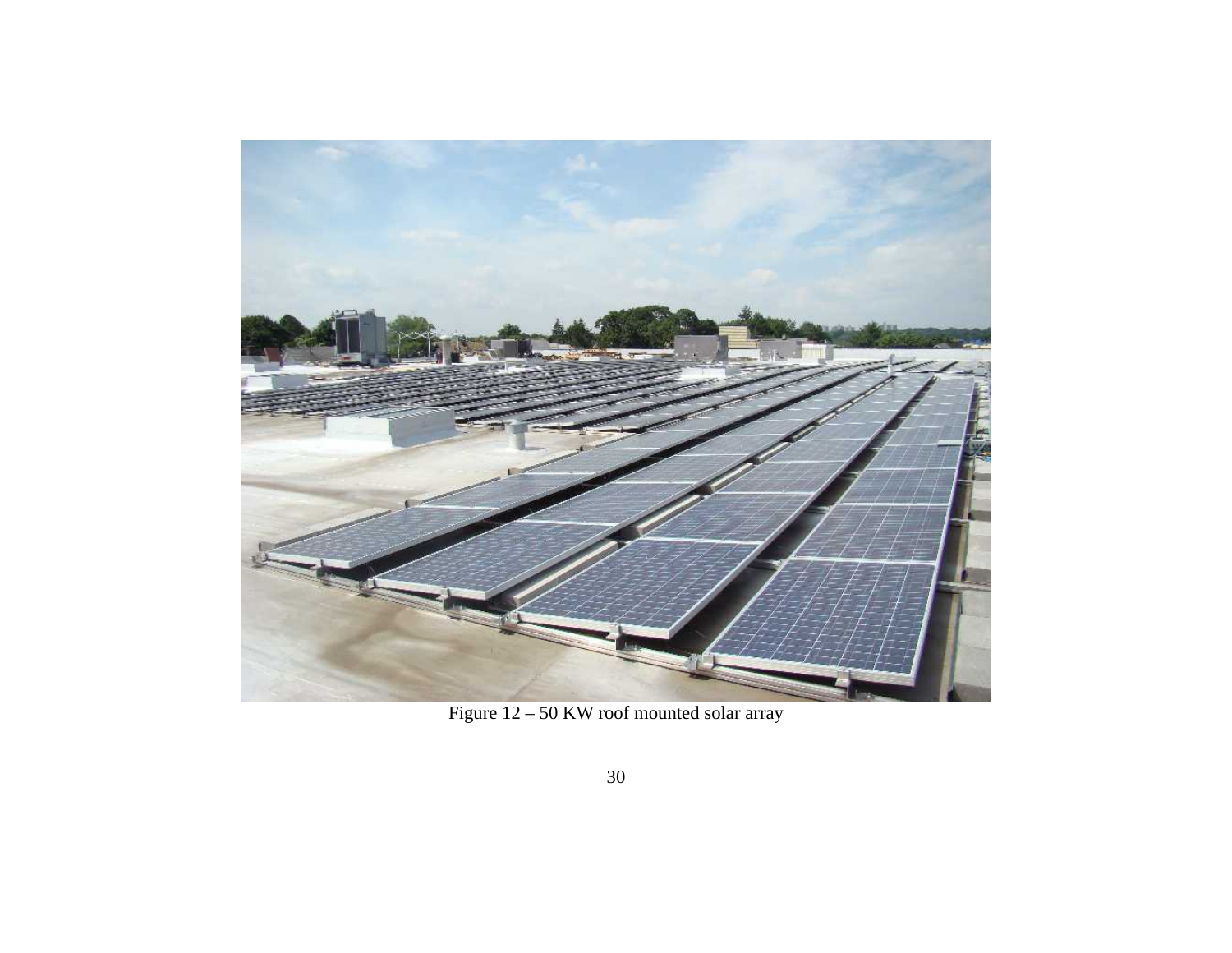

Figure 12 – 50 KW roof mounted solar array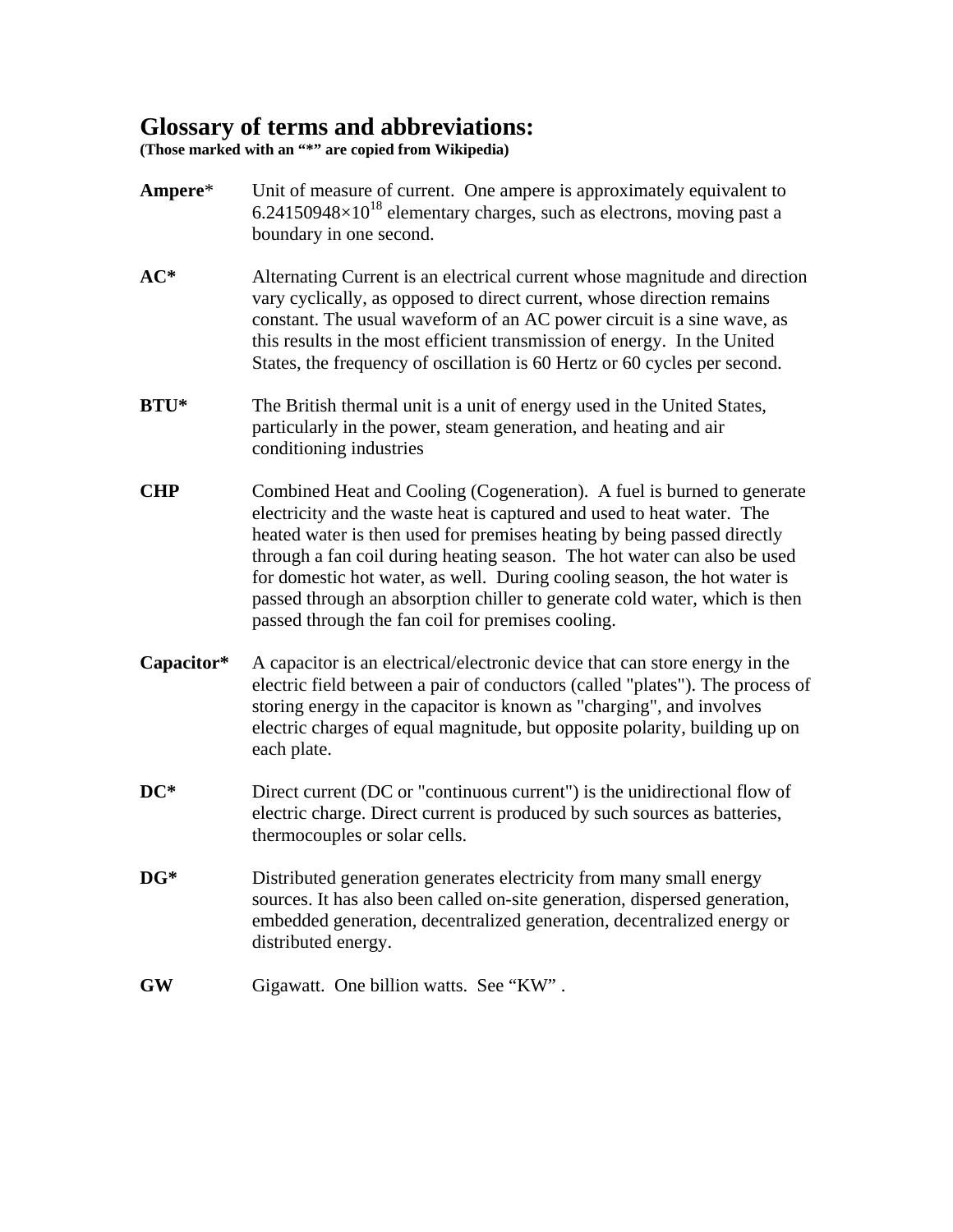## **Glossary of terms and abbreviations:**

**(Those marked with an "\*" are copied from Wikipedia)** 

- **Ampere**\* Unit of measure of current. One ampere is approximately equivalent to  $6.24150948\times10^{18}$  elementary charges, such as [electrons](http://en.wikipedia.org/wiki/Electron), moving past a boundary in one second.
- **AC\*** Alternating Current is an electrical current whose magnitude and direction vary cyclically, as opposed to direct current, whose direction remains constant. The usual waveform of an AC power circuit is a sine wave, as this results in the most efficient transmission of energy. In the United States, the frequency of oscillation is 60 Hertz or 60 cycles per second.
- **BTU<sup>\*</sup>** The British thermal unit is a unit of [energy](http://en.wikipedia.org/wiki/Energy) used in the United States, particularly in the power, steam generation, and heating and air conditioning industries
- **CHP** Combined Heat and Cooling (Cogeneration). A fuel is burned to generate electricity and the waste heat is captured and used to heat water. The heated water is then used for premises heating by being passed directly through a fan coil during heating season. The hot water can also be used for domestic hot water, as well. During cooling season, the hot water is passed through an absorption chiller to generate cold water, which is then passed through the fan coil for premises cooling.
- **Capacitor\*** A capacitor is an electrical/electronic device that can store energy in the electric field between a pair of conductors (called "plates"). The process of storing energy in the capacitor is known as "charging", and involves electric charges of equal magnitude, but opposite polarity, building up on each plate.
- **DC<sup>\*</sup>** Direct current (DC or "continuous current") is the unidirectional flow of electric charge. Direct current is produced by such sources as batteries, thermocouples or solar cells.
- **DG\*** Distributed generation generates [electricity](http://en.wikipedia.org/wiki/Electricity) from many small energy sources. It has also been called on-site generation, dispersed generation, embedded generation, decentralized generation, decentralized energy or distributed energy.
- **GW** Gigawatt. One billion watts. See "KW" .